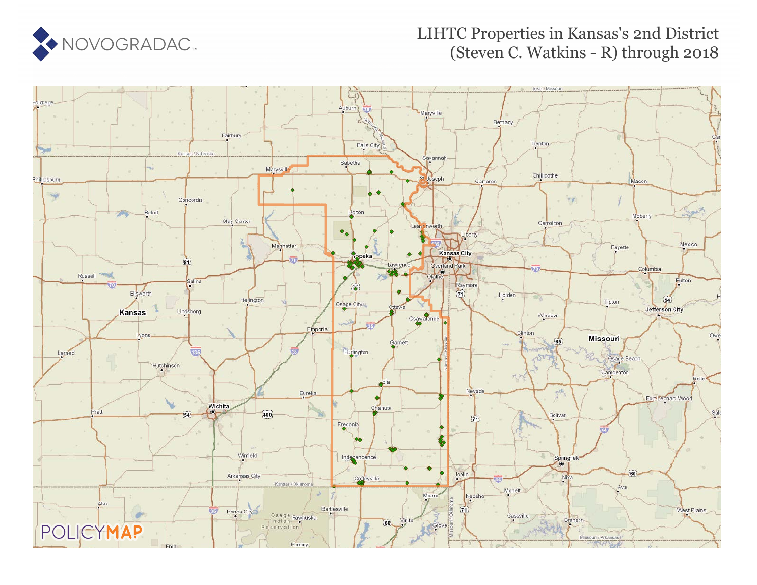

### LIHTC Properties in Kansas's 2nd District (Steven C. Watkins - R) through 2018

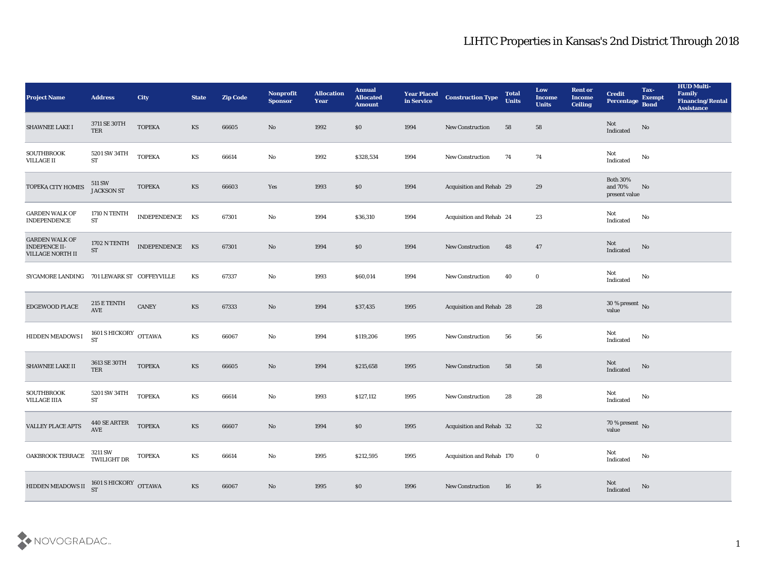| <b>Project Name</b>                                                      | <b>Address</b>                       | City            | <b>State</b>           | <b>Zip Code</b> | Nonprofit<br><b>Sponsor</b> | <b>Allocation</b><br><b>Year</b> | <b>Annual</b><br><b>Allocated</b><br><b>Amount</b> | <b>Year Placed</b><br>in Service | <b>Construction Type</b>  | <b>Total</b><br><b>Units</b> | Low<br><b>Income</b><br><b>Units</b> | <b>Rent or</b><br><b>Income</b><br><b>Ceiling</b> | <b>Credit</b><br>Percentage                       | Tax-<br><b>Exempt</b><br><b>Bond</b> | <b>HUD Multi-</b><br>Family<br><b>Financing/Rental</b><br><b>Assistance</b> |
|--------------------------------------------------------------------------|--------------------------------------|-----------------|------------------------|-----------------|-----------------------------|----------------------------------|----------------------------------------------------|----------------------------------|---------------------------|------------------------------|--------------------------------------|---------------------------------------------------|---------------------------------------------------|--------------------------------------|-----------------------------------------------------------------------------|
| SHAWNEE LAKE I                                                           | 3711 SE 30TH<br>TER                  | <b>TOPEKA</b>   | KS                     | 66605           | No                          | 1992                             | $\$0$                                              | 1994                             | New Construction          | 58                           | 58                                   |                                                   | Not<br>Indicated                                  | No                                   |                                                                             |
| <b>SOUTHBROOK</b><br><b>VILLAGE II</b>                                   | 5201 SW 34TH<br>ST                   | <b>TOPEKA</b>   | KS                     | 66614           | No                          | 1992                             | \$328,534                                          | 1994                             | New Construction          | 74                           | 74                                   |                                                   | Not<br>Indicated                                  | No                                   |                                                                             |
| TOPEKA CITY HOMES                                                        | 511 SW<br><b>JACKSON ST</b>          | <b>TOPEKA</b>   | $\mathbf{K}\mathbf{S}$ | 66603           | Yes                         | 1993                             | \$0                                                | 1994                             | Acquisition and Rehab 29  |                              | 29                                   |                                                   | <b>Both 30%</b><br>and 70%<br>present value       | No                                   |                                                                             |
| <b>GARDEN WALK OF</b><br>INDEPENDENCE                                    | 1710 N TENTH<br>${\cal ST}$          | INDEPENDENCE KS |                        | 67301           | No                          | 1994                             | \$36,310                                           | 1994                             | Acquisition and Rehab 24  |                              | 23                                   |                                                   | Not<br>$\operatorname{Indicated}$                 | No                                   |                                                                             |
| <b>GARDEN WALK OF</b><br><b>INDEPENCE II-</b><br><b>VILLAGE NORTH II</b> | 1702 N TENTH<br>${\rm ST}$           | INDEPENDENCE KS |                        | 67301           | No                          | 1994                             | \$0                                                | 1994                             | <b>New Construction</b>   | 48                           | 47                                   |                                                   | Not<br>Indicated                                  | No                                   |                                                                             |
| SYCAMORE LANDING 701 LEWARK ST COFFEYVILLE                               |                                      |                 | KS                     | 67337           | No                          | 1993                             | \$60,014                                           | 1994                             | <b>New Construction</b>   | 40                           | $\bf{0}$                             |                                                   | Not<br>Indicated                                  | No                                   |                                                                             |
| EDGEWOOD PLACE                                                           | 215 E TENTH<br>$\operatorname{AVE}$  | CANEY           | KS                     | 67333           | No                          | 1994                             | \$37,435                                           | 1995                             | Acquisition and Rehab 28  |                              | 28                                   |                                                   | $30\,\%$ present $\,$ No value                    |                                      |                                                                             |
| HIDDEN MEADOWS I                                                         | 1601 S HICKORY OTTAWA<br><b>ST</b>   |                 | KS                     | 66067           | $\mathbf{N}\mathbf{o}$      | 1994                             | \$119,206                                          | 1995                             | <b>New Construction</b>   | 56                           | 56                                   |                                                   | Not<br>Indicated                                  | No                                   |                                                                             |
| SHAWNEE LAKE II                                                          | 3613 SE 30TH<br>TER                  | <b>TOPEKA</b>   | KS                     | 66605           | No                          | 1994                             | \$215,658                                          | 1995                             | <b>New Construction</b>   | 58                           | 58                                   |                                                   | Not<br>Indicated                                  | No                                   |                                                                             |
| <b>SOUTHBROOK</b><br><b>VILLAGE IIIA</b>                                 | 5201 SW 34TH<br><b>ST</b>            | <b>TOPEKA</b>   | KS                     | 66614           | $\rm\thinspace No$          | 1993                             | \$127,112                                          | 1995                             | New Construction          | 28                           | 28                                   |                                                   | Not<br>$\operatorname{Indicated}$                 | No                                   |                                                                             |
| <b>VALLEY PLACE APTS</b>                                                 | 440 SE ARTER<br>$\operatorname{AVE}$ | <b>TOPEKA</b>   | KS                     | 66607           | No                          | 1994                             | \$0\$                                              | 1995                             | Acquisition and Rehab 32  |                              | 32                                   |                                                   | 70 % present No<br>value                          |                                      |                                                                             |
| OAKBROOK TERRACE                                                         | 3211 SW<br>TWILIGHT DR        TOPEKA |                 | $\mathbf{K}\mathbf{S}$ | 66614           | $\rm\thinspace No$          | 1995                             | \$212,595                                          | 1995                             | Acquisition and Rehab 170 |                              | $\bf{0}$                             |                                                   | Not<br>$\label{thm:indicated} \textbf{Indicated}$ | $\mathbf{N}\mathbf{o}$               |                                                                             |
| HIDDEN MEADOWS II $_{ST}^{1601}$ S HICKORY OTTAWA                        |                                      |                 | $\mathbf{K}\mathbf{S}$ | 66067           | $\rm\thinspace No$          | 1995                             | $\$0$                                              | 1996                             | <b>New Construction</b>   | 16                           | $16\,$                               |                                                   | Not<br>Indicated                                  | $\mathbf {No}$                       |                                                                             |

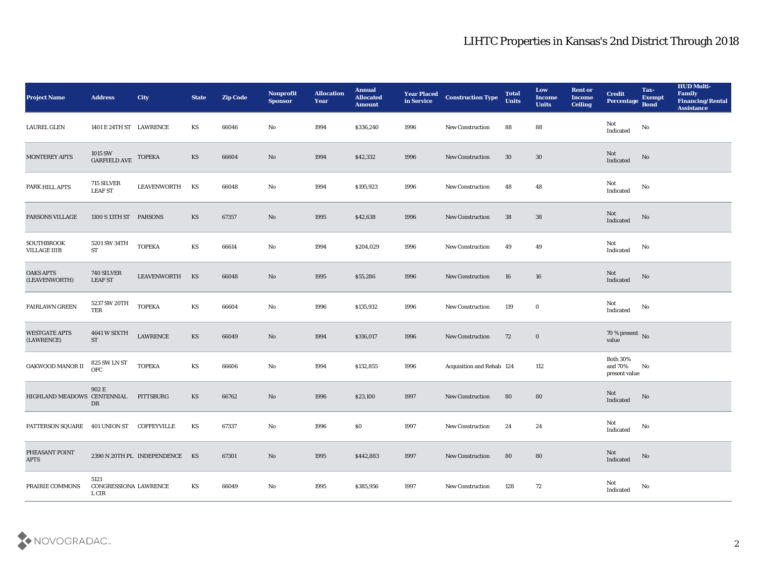| <b>Project Name</b>                      | <b>Address</b>                            | <b>City</b>                    | <b>State</b> | <b>Zip Code</b> | Nonprofit<br><b>Sponsor</b> | <b>Allocation</b><br>Year | <b>Annual</b><br><b>Allocated</b><br><b>Amount</b> | <b>Year Placed</b><br>in Service | <b>Construction Type</b>  | <b>Total</b><br><b>Units</b> | Low<br><b>Income</b><br><b>Units</b> | <b>Rent or</b><br><b>Income</b><br><b>Ceiling</b> | <b>Credit</b><br>Percentage                 | Tax-<br><b>Exempt</b><br><b>Bond</b> | <b>HUD Multi-</b><br>Family<br><b>Financing/Rental</b><br><b>Assistance</b> |
|------------------------------------------|-------------------------------------------|--------------------------------|--------------|-----------------|-----------------------------|---------------------------|----------------------------------------------------|----------------------------------|---------------------------|------------------------------|--------------------------------------|---------------------------------------------------|---------------------------------------------|--------------------------------------|-----------------------------------------------------------------------------|
| <b>LAUREL GLEN</b>                       | 1401 E 24TH ST LAWRENCE                   |                                | KS           | 66046           | No                          | 1994                      | \$336,240                                          | 1996                             | New Construction          | 88                           | 88                                   |                                                   | Not<br>Indicated                            | No                                   |                                                                             |
| MONTEREY APTS                            | 1015 SW<br>GARFIELD AVE                   | <b>TOPEKA</b>                  | KS           | 66604           | No                          | 1994                      | \$42,332                                           | 1996                             | <b>New Construction</b>   | 30                           | 30                                   |                                                   | Not<br>Indicated                            | No                                   |                                                                             |
| PARK HILL APTS                           | 715 SILVER<br><b>LEAF ST</b>              | <b>LEAVENWORTH</b>             | KS           | 66048           | $\mathbf{N}\mathbf{o}$      | 1994                      | \$195,923                                          | 1996                             | New Construction          | 48                           | 48                                   |                                                   | Not<br>Indicated                            | No                                   |                                                                             |
| PARSONS VILLAGE                          | 1100 S 13TH ST PARSONS                    |                                | KS           | 67357           | No                          | 1995                      | \$42,638                                           | 1996                             | <b>New Construction</b>   | 38                           | 38                                   |                                                   | Not<br>Indicated                            | $\rm No$                             |                                                                             |
| <b>SOUTHBROOK</b><br><b>VILLAGE IIIB</b> | 5201 SW 34TH<br>${\rm ST}$                | <b>TOPEKA</b>                  | KS           | 66614           | $\mathbf{N}\mathbf{o}$      | 1994                      | \$204,029                                          | 1996                             | <b>New Construction</b>   | 49                           | 49                                   |                                                   | Not<br>Indicated                            | No                                   |                                                                             |
| <b>OAKS APTS</b><br>(LEAVENWORTH)        | 740 SILVER<br><b>LEAF ST</b>              | LEAVENWORTH                    | KS           | 66048           | No                          | 1995                      | \$55,286                                           | 1996                             | New Construction          | 16                           | 16                                   |                                                   | Not<br>Indicated                            | No                                   |                                                                             |
| <b>FAIRLAWN GREEN</b>                    | $5237\,\mathrm{SW}\,20\mathrm{TH}$<br>TER | <b>TOPEKA</b>                  | KS           | 66604           | $\mathbf{N}\mathbf{o}$      | 1996                      | \$135,932                                          | 1996                             | <b>New Construction</b>   | 119                          | $\bf{0}$                             |                                                   | Not<br>$\operatorname{Indicated}$           | No                                   |                                                                             |
| <b>WESTGATE APTS</b><br>(LAWRENCE)       | 4641 W SIXTH<br><b>ST</b>                 | <b>LAWRENCE</b>                | KS           | 66049           | No                          | 1994                      | \$316,017                                          | 1996                             | <b>New Construction</b>   | 72                           | $\bf{0}$                             |                                                   | $70$ % present $${\rm No}$$ value           |                                      |                                                                             |
| OAKWOOD MANOR II                         | <b>825 SW LN ST</b><br>OFC                | <b>TOPEKA</b>                  | KS           | 66606           | No                          | 1994                      | \$132,855                                          | 1996                             | Acquisition and Rehab 124 |                              | 112                                  |                                                   | <b>Both 30%</b><br>and 70%<br>present value | No                                   |                                                                             |
| HIGHLAND MEADOWS CENTENNIAL              | 902 E<br>DR                               | PITTSBURG                      | KS           | 66762           | No                          | 1996                      | \$23,100                                           | 1997                             | <b>New Construction</b>   | 80                           | 80                                   |                                                   | Not<br>Indicated                            | No                                   |                                                                             |
| PATTERSON SQUARE 401 UNION ST            |                                           | <b>COFFEYVILLE</b>             | KS           | 67337           | No                          | 1996                      | $\$0$                                              | 1997                             | <b>New Construction</b>   | 24                           | 24                                   |                                                   | Not<br>Indicated                            | No                                   |                                                                             |
| PHEASANT POINT<br><b>APTS</b>            |                                           | 2390 N 20TH PL INDEPENDENCE KS |              | 67301           | $\rm\thinspace No$          | 1995                      | \$442,883                                          | 1997                             | New Construction          | 80                           | 80                                   |                                                   | Not<br>Indicated                            | $\mathbf{N}\mathbf{o}$               |                                                                             |
| PRAIRIE COMMONS                          | 5121<br>CONGRESSIONA LAWRENCE<br>L CIR    |                                | KS           | 66049           | $\mathbf {No}$              | 1995                      | \$385,956                                          | 1997                             | New Construction          | 128                          | 72                                   |                                                   | Not<br>Indicated                            | No                                   |                                                                             |

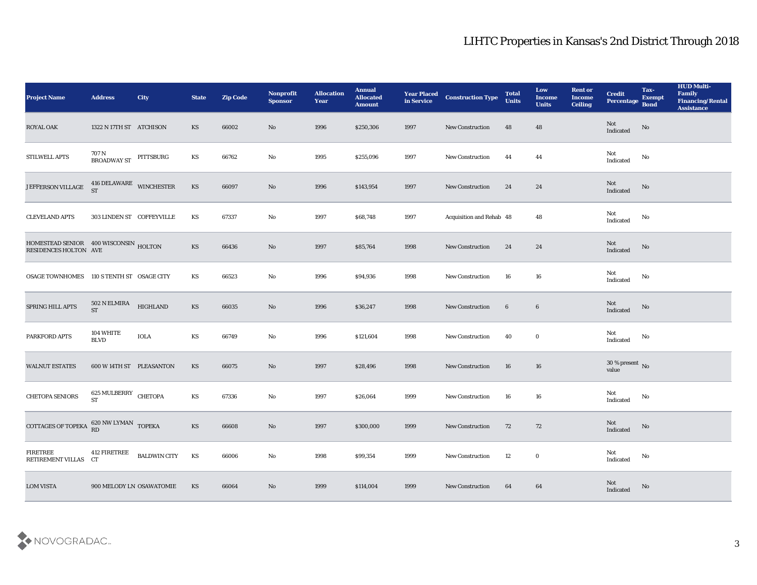| <b>Project Name</b>                                                                                                                          | <b>Address</b>                    | City                | <b>State</b> | <b>Zip Code</b> | Nonprofit<br><b>Sponsor</b> | <b>Allocation</b><br><b>Year</b> | <b>Annual</b><br><b>Allocated</b><br><b>Amount</b> | <b>Year Placed<br/>in Service</b> | <b>Construction Type</b> | <b>Total</b><br><b>Units</b> | Low<br><b>Income</b><br><b>Units</b> | <b>Rent or</b><br><b>Income</b><br><b>Ceiling</b> | <b>Credit</b><br>Percentage       | Tax-<br><b>Exempt</b><br><b>Bond</b> | <b>HUD Multi-</b><br>Family<br><b>Financing/Rental</b><br><b>Assistance</b> |
|----------------------------------------------------------------------------------------------------------------------------------------------|-----------------------------------|---------------------|--------------|-----------------|-----------------------------|----------------------------------|----------------------------------------------------|-----------------------------------|--------------------------|------------------------------|--------------------------------------|---------------------------------------------------|-----------------------------------|--------------------------------------|-----------------------------------------------------------------------------|
| <b>ROYAL OAK</b>                                                                                                                             | 1322 N 17TH ST ATCHISON           |                     | <b>KS</b>    | 66002           | No                          | 1996                             | \$250,306                                          | 1997                              | New Construction         | 48                           | 48                                   |                                                   | Not<br>Indicated                  | No                                   |                                                                             |
| STILWELL APTS                                                                                                                                | 707 N<br>BROADWAY ST PITTSBURG    |                     | KS           | 66762           | No                          | 1995                             | \$255,096                                          | 1997                              | <b>New Construction</b>  | 44                           | 44                                   |                                                   | Not<br>Indicated                  | No                                   |                                                                             |
| JEFFERSON VILLAGE                                                                                                                            | 416 DELAWARE WINCHESTER           |                     | KS           | 66097           | No                          | 1996                             | \$143,954                                          | 1997                              | New Construction         | 24                           | 24                                   |                                                   | Not<br>Indicated                  | No                                   |                                                                             |
| <b>CLEVELAND APTS</b>                                                                                                                        | 303 LINDEN ST COFFEYVILLE         |                     | KS           | 67337           | $\rm\thinspace No$          | 1997                             | \$68,748                                           | 1997                              | Acquisition and Rehab 48 |                              | 48                                   |                                                   | Not<br>$\operatorname{Indicated}$ | No                                   |                                                                             |
| $\begin{tabular}{llllll} \bf HOMESTEAD \; SENIOR & \bf 400 \; WISCONSIN & \bf HOLTON \\ \bf RESIDENCES \; HOLTON & \bf AVE \\ \end{tabular}$ |                                   |                     | KS           | 66436           | No                          | 1997                             | \$85,764                                           | 1998                              | <b>New Construction</b>  | 24                           | 24                                   |                                                   | Not<br>Indicated                  | No                                   |                                                                             |
| OSAGE TOWNHOMES 110 S TENTH ST OSAGE CITY                                                                                                    |                                   |                     | KS           | 66523           | $\rm\thinspace No$          | 1996                             | \$94,936                                           | 1998                              | <b>New Construction</b>  | 16                           | 16                                   |                                                   | Not<br>Indicated                  | No                                   |                                                                             |
| SPRING HILL APTS                                                                                                                             | 502 N ELMIRA<br><b>ST</b>         | <b>HIGHLAND</b>     | KS           | 66035           | No                          | 1996                             | \$36,247                                           | 1998                              | New Construction         | $6\phantom{.}6$              | $6\phantom{.0}$                      |                                                   | Not<br>Indicated                  | No                                   |                                                                             |
| PARKFORD APTS                                                                                                                                | 104 WHITE<br><b>BLVD</b>          | <b>IOLA</b>         | KS           | 66749           | No                          | 1996                             | \$121,604                                          | 1998                              | <b>New Construction</b>  | 40                           | $\bf{0}$                             |                                                   | Not<br>Indicated                  | No                                   |                                                                             |
| <b>WALNUT ESTATES</b>                                                                                                                        | 600 W 14TH ST PLEASANTON          |                     | <b>KS</b>    | 66075           | No                          | 1997                             | \$28,496                                           | 1998                              | <b>New Construction</b>  | 16                           | 16                                   |                                                   | $30\,\%$ present $\,$ No value    |                                      |                                                                             |
| CHETOPA SENIORS                                                                                                                              | 625 MULBERRY CHETOPA<br><b>ST</b> |                     | KS           | 67336           | $\rm\thinspace No$          | 1997                             | \$26,064                                           | 1999                              | <b>New Construction</b>  | 16                           | 16                                   |                                                   | Not<br>$\operatorname{Indicated}$ | No                                   |                                                                             |
| COTTAGES OF TOPEKA $_{\rm RD}^{\rm 620\,NW\,LYMAN}$ TOPEKA                                                                                   |                                   |                     | KS           | 66608           | No                          | 1997                             | \$300,000                                          | 1999                              | <b>New Construction</b>  | 72                           | 72                                   |                                                   | Not<br>Indicated                  | No                                   |                                                                             |
| <b>FIRETREE</b><br>RETIREMENT VILLAS CT                                                                                                      | 412 FIRETREE                      | <b>BALDWIN CITY</b> | KS           | 66006           | $\rm\thinspace No$          | 1998                             | \$99,354                                           | 1999                              | <b>New Construction</b>  | 12                           | $\bf{0}$                             |                                                   | Not<br>Indicated                  | No                                   |                                                                             |
| <b>LOM VISTA</b>                                                                                                                             | 900 MELODY LN OSAWATOMIE          |                     | KS           | 66064           | $\rm\thinspace No$          | 1999                             | \$114,004                                          | 1999                              | <b>New Construction</b>  | 64                           | 64                                   |                                                   | Not<br>Indicated                  | No                                   |                                                                             |

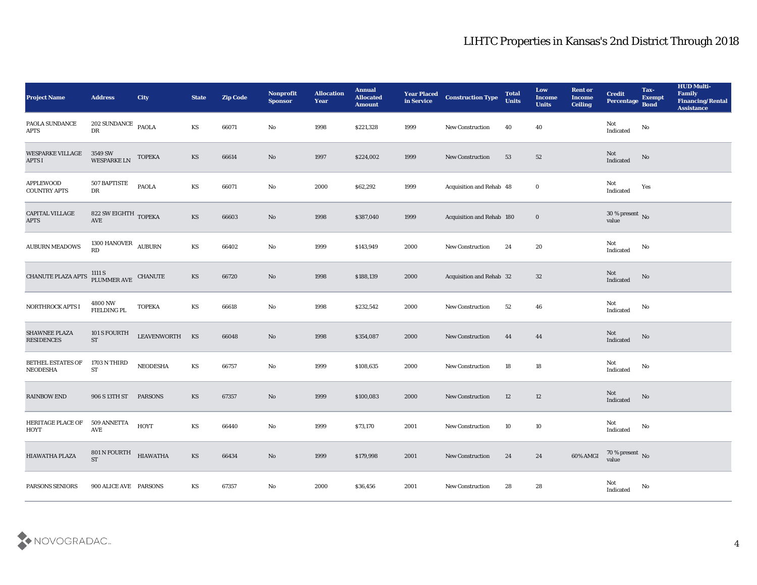| <b>Project Name</b>                       | <b>Address</b>                            | <b>City</b>        | <b>State</b>           | <b>Zip Code</b> | Nonprofit<br><b>Sponsor</b> | <b>Allocation</b><br><b>Year</b> | <b>Annual</b><br><b>Allocated</b><br><b>Amount</b> | <b>Year Placed</b><br>in Service | <b>Construction Type</b>  | <b>Total</b><br><b>Units</b> | Low<br><b>Income</b><br><b>Units</b> | <b>Rent or</b><br><b>Income</b><br><b>Ceiling</b> | <b>Credit</b><br>Percentage       | Tax-<br><b>Exempt</b><br><b>Bond</b> | <b>HUD Multi-</b><br>Family<br><b>Financing/Rental</b><br><b>Assistance</b> |
|-------------------------------------------|-------------------------------------------|--------------------|------------------------|-----------------|-----------------------------|----------------------------------|----------------------------------------------------|----------------------------------|---------------------------|------------------------------|--------------------------------------|---------------------------------------------------|-----------------------------------|--------------------------------------|-----------------------------------------------------------------------------|
| PAOLA SUNDANCE<br><b>APTS</b>             | 202 SUNDANCE PAOLA<br>DR                  |                    | KS                     | 66071           | No                          | 1998                             | \$221,328                                          | 1999                             | New Construction          | 40                           | 40                                   |                                                   | Not<br>Indicated                  | No                                   |                                                                             |
| <b>WESPARKE VILLAGE</b><br><b>APTS I</b>  | 3549 SW<br><b>WESPARKE LN</b>             | <b>TOPEKA</b>      | KS                     | 66614           | No                          | 1997                             | \$224,002                                          | 1999                             | <b>New Construction</b>   | 53                           | 52                                   |                                                   | Not<br>Indicated                  | No                                   |                                                                             |
| <b>APPLEWOOD</b><br><b>COUNTRY APTS</b>   | 507 BAPTISTE<br>DR                        | <b>PAOLA</b>       | KS                     | 66071           | No                          | 2000                             | \$62,292                                           | 1999                             | Acquisition and Rehab 48  |                              | $\bf{0}$                             |                                                   | Not<br>Indicated                  | Yes                                  |                                                                             |
| <b>CAPITAL VILLAGE</b><br><b>APTS</b>     | 822 SW EIGHTH TOPEKA<br>AVE               |                    | KS                     | 66603           | No                          | 1998                             | \$387,040                                          | 1999                             | Acquisition and Rehab 180 |                              | $\bf{0}$                             |                                                   | $30\,\%$ present $\,$ No value    |                                      |                                                                             |
| <b>AUBURN MEADOWS</b>                     | $1300$ HANOVER $\quad$ AUBURN<br>RD       |                    | KS                     | 66402           | No                          | 1999                             | \$143,949                                          | 2000                             | New Construction          | 24                           | 20                                   |                                                   | Not<br>Indicated                  | No                                   |                                                                             |
| <b>CHANUTE PLAZA APTS</b>                 | $1111$ S $$\rm \, ELUMMER\, AVE$$ CHANUTE |                    | KS                     | 66720           | No                          | 1998                             | \$188,139                                          | 2000                             | Acquisition and Rehab 32  |                              | 32                                   |                                                   | Not<br>Indicated                  | No                                   |                                                                             |
| NORTHROCK APTS I                          | 4800 NW<br>FIELDING PL                    | <b>TOPEKA</b>      | KS                     | 66618           | No                          | 1998                             | \$232,542                                          | 2000                             | <b>New Construction</b>   | 52                           | 46                                   |                                                   | Not<br>Indicated                  | No                                   |                                                                             |
| <b>SHAWNEE PLAZA</b><br><b>RESIDENCES</b> | 101 S FOURTH<br><b>ST</b>                 | <b>LEAVENWORTH</b> | KS                     | 66048           | No                          | 1998                             | \$354,087                                          | 2000                             | <b>New Construction</b>   | 44                           | 44                                   |                                                   | <b>Not</b><br>Indicated           | No                                   |                                                                             |
| BETHEL ESTATES OF<br><b>NEODESHA</b>      | 1703 N THIRD<br><b>ST</b>                 | <b>NEODESHA</b>    | KS                     | 66757           | No                          | 1999                             | \$108,635                                          | 2000                             | New Construction          | 18                           | 18                                   |                                                   | Not<br>$\operatorname{Indicated}$ | No                                   |                                                                             |
| <b>RAINBOW END</b>                        | 906 S 13TH ST                             | <b>PARSONS</b>     | <b>KS</b>              | 67357           | No                          | 1999                             | \$100,083                                          | 2000                             | <b>New Construction</b>   | 12                           | 12                                   |                                                   | Not<br>Indicated                  | No                                   |                                                                             |
| HERITAGE PLACE OF<br>HOYT                 | 509 ANNETTA<br>AVE                        | HOYT               | KS                     | 66440           | No                          | 1999                             | \$73,170                                           | 2001                             | <b>New Construction</b>   | 10                           | 10                                   |                                                   | Not<br>Indicated                  | No                                   |                                                                             |
| HIAWATHA PLAZA                            | 801 N FOURTH HIAWATHA<br><b>ST</b>        |                    | $\mathbf{K}\mathbf{S}$ | 66434           | $\rm\thinspace No$          | 1999                             | \$179,998                                          | 2001                             | New Construction          | 24                           | $\bf 24$                             | 60% AMGI                                          | $70\,\%$ present $\,$ No value    |                                      |                                                                             |
| PARSONS SENIORS                           | 900 ALICE AVE PARSONS                     |                    | KS                     | 67357           | $\rm\thinspace No$          | 2000                             | \$36,456                                           | 2001                             | New Construction          | 28                           | ${\bf 28}$                           |                                                   | Not<br>Indicated                  | $\mathbf {No}$                       |                                                                             |

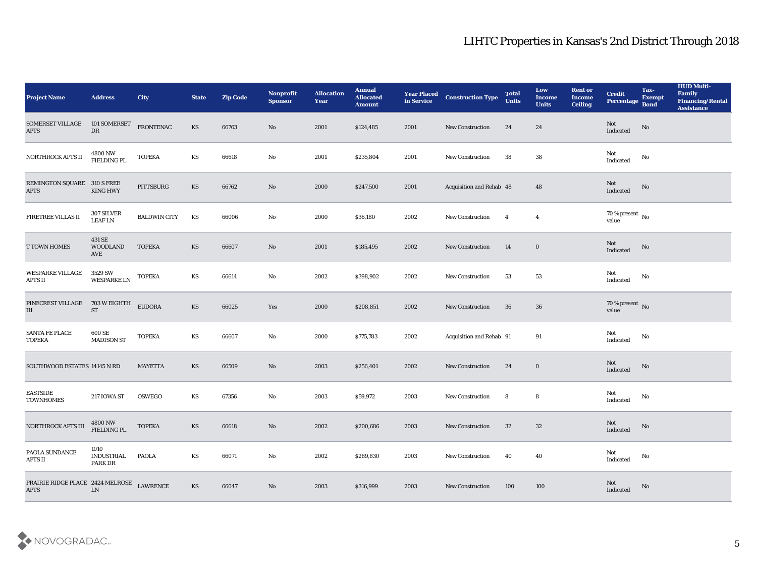| <b>Project Name</b>                             | <b>Address</b>                       | City                | <b>State</b>           | <b>Zip Code</b> | Nonprofit<br><b>Sponsor</b> | <b>Allocation</b><br>Year | <b>Annual</b><br><b>Allocated</b><br><b>Amount</b> | <b>Year Placed</b><br>in Service | <b>Construction Type</b> | <b>Total</b><br><b>Units</b> | Low<br><b>Income</b><br><b>Units</b> | <b>Rent or</b><br><b>Income</b><br><b>Ceiling</b> | <b>Credit</b><br>Percentage       | Tax-<br><b>Exempt</b><br><b>Bond</b> | <b>HUD Multi-</b><br>Family<br><b>Financing/Rental</b><br><b>Assistance</b> |
|-------------------------------------------------|--------------------------------------|---------------------|------------------------|-----------------|-----------------------------|---------------------------|----------------------------------------------------|----------------------------------|--------------------------|------------------------------|--------------------------------------|---------------------------------------------------|-----------------------------------|--------------------------------------|-----------------------------------------------------------------------------|
| SOMERSET VILLAGE<br><b>APTS</b>                 | 101 SOMERSET<br>${\rm DR}$           | FRONTENAC           | KS                     | 66763           | No                          | 2001                      | \$124,485                                          | 2001                             | <b>New Construction</b>  | 24                           | 24                                   |                                                   | Not<br>Indicated                  | No                                   |                                                                             |
| NORTHROCK APTS II                               | 4800 NW<br>FIELDING PL               | <b>TOPEKA</b>       | KS                     | 66618           | No                          | 2001                      | \$235,804                                          | 2001                             | New Construction         | 38                           | 38                                   |                                                   | Not<br>Indicated                  | No                                   |                                                                             |
| REMINGTON SQUARE 310 S FREE<br><b>APTS</b>      | <b>KING HWY</b>                      | PITTSBURG           | KS                     | 66762           | No                          | 2000                      | \$247,500                                          | 2001                             | Acquisition and Rehab 48 |                              | 48                                   |                                                   | Not<br>Indicated                  | No                                   |                                                                             |
| FIRETREE VILLAS II                              | 307 SILVER<br><b>LEAF LN</b>         | <b>BALDWIN CITY</b> | KS                     | 66006           | No                          | 2000                      | \$36,180                                           | 2002                             | New Construction         | $\overline{4}$               | $\overline{4}$                       |                                                   | $70\,\%$ present $\,$ No value    |                                      |                                                                             |
| <b>T TOWN HOMES</b>                             | 431 SE<br><b>WOODLAND</b><br>AVE     | <b>TOPEKA</b>       | KS                     | 66607           | No                          | 2001                      | \$185,495                                          | 2002                             | <b>New Construction</b>  | 14                           | $\bf{0}$                             |                                                   | Not<br>Indicated                  | No                                   |                                                                             |
| <b>WESPARKE VILLAGE</b><br><b>APTS II</b>       | 3529 SW<br><b>WESPARKE LN</b>        | <b>TOPEKA</b>       | KS                     | 66614           | No                          | 2002                      | \$398,902                                          | 2002                             | <b>New Construction</b>  | 53                           | 53                                   |                                                   | Not<br>Indicated                  | No                                   |                                                                             |
| PINECREST VILLAGE<br>III                        | 703 W EIGHTH<br><b>ST</b>            | <b>EUDORA</b>       | KS                     | 66025           | Yes                         | 2000                      | \$208,851                                          | 2002                             | <b>New Construction</b>  | 36                           | 36                                   |                                                   | $70\,\%$ present $\,$ No value    |                                      |                                                                             |
| <b>SANTA FE PLACE</b><br><b>TOPEKA</b>          | 600 SE<br><b>MADISON ST</b>          | <b>TOPEKA</b>       | KS                     | 66607           | No                          | 2000                      | \$775,783                                          | 2002                             | Acquisition and Rehab 91 |                              | 91                                   |                                                   | Not<br>Indicated                  | No                                   |                                                                             |
| SOUTHWOOD ESTATES 14145 N RD                    |                                      | <b>MAYETTA</b>      | KS                     | 66509           | $\mathbf{N}\mathbf{o}$      | 2003                      | \$256,401                                          | 2002                             | New Construction         | 24                           | $\bf{0}$                             |                                                   | Not<br>Indicated                  | No                                   |                                                                             |
| <b>EASTSIDE</b><br><b>TOWNHOMES</b>             | <b>217 IOWA ST</b>                   | <b>OSWEGO</b>       | KS                     | 67356           | No                          | 2003                      | \$59,972                                           | 2003                             | New Construction         | 8                            | 8                                    |                                                   | Not<br>$\operatorname{Indicated}$ | No                                   |                                                                             |
| NORTHROCK APTS III                              | 4800 NW<br>FIELDING PL               | <b>TOPEKA</b>       | KS                     | 66618           | No                          | 2002                      | \$200,686                                          | 2003                             | <b>New Construction</b>  | 32                           | 32                                   |                                                   | Not<br>Indicated                  | No                                   |                                                                             |
| PAOLA SUNDANCE<br>APTS II                       | 1010<br><b>INDUSTRIAL</b><br>PARK DR | <b>PAOLA</b>        | KS                     | 66071           | $\rm\, No$                  | 2002                      | \$289,830                                          | 2003                             | <b>New Construction</b>  | 40                           | 40                                   |                                                   | Not<br>Indicated                  | $\mathbf {No}$                       |                                                                             |
| PRAIRIE RIDGE PLACE 2424 MELROSE<br><b>APTS</b> | ${\rm LN}$                           | <b>LAWRENCE</b>     | $\mathbf{K}\mathbf{S}$ | 66047           | $\rm\thinspace No$          | 2003                      | \$316,999                                          | 2003                             | <b>New Construction</b>  | 100                          | 100                                  |                                                   | Not<br>Indicated                  | No                                   |                                                                             |

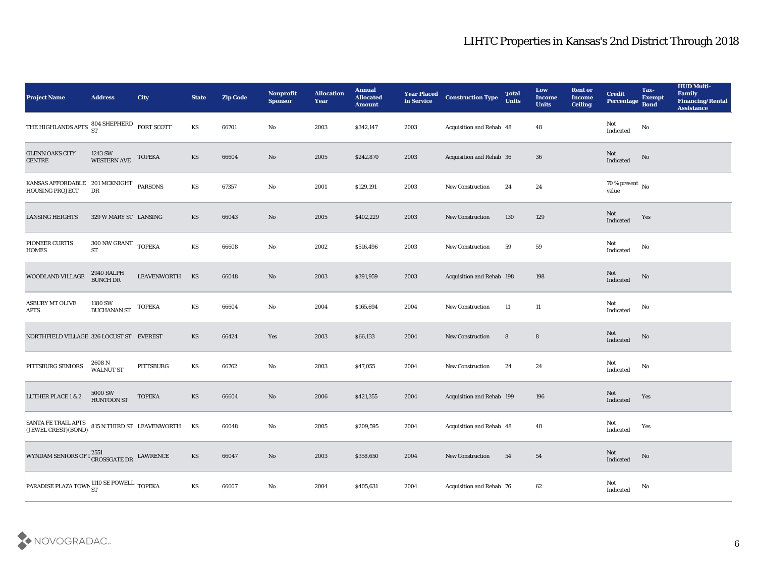| <b>Project Name</b>                                                                             | <b>Address</b>                          | <b>City</b>                | <b>State</b>           | <b>Zip Code</b> | Nonprofit<br><b>Sponsor</b> | <b>Allocation</b><br><b>Year</b> | <b>Annual</b><br><b>Allocated</b><br><b>Amount</b> | <b>Year Placed</b><br>in Service | <b>Construction Type</b>        | <b>Total</b><br><b>Units</b> | Low<br><b>Income</b><br><b>Units</b> | <b>Rent or</b><br><b>Income</b><br><b>Ceiling</b> | <b>Credit</b><br><b>Percentage</b>    | Tax-<br><b>Exempt</b><br><b>Bond</b> | <b>HUD Multi-</b><br>Family<br><b>Financing/Rental</b><br><b>Assistance</b> |
|-------------------------------------------------------------------------------------------------|-----------------------------------------|----------------------------|------------------------|-----------------|-----------------------------|----------------------------------|----------------------------------------------------|----------------------------------|---------------------------------|------------------------------|--------------------------------------|---------------------------------------------------|---------------------------------------|--------------------------------------|-----------------------------------------------------------------------------|
| THE HIGHLANDS APTS $\begin{array}{cc} 804 \text{ SHEPHERD} \\ \text{ST} \end{array}$ FORT SCOTT |                                         |                            | KS                     | 66701           | No                          | 2003                             | \$342,147                                          | 2003                             | Acquisition and Rehab 48        |                              | 48                                   |                                                   | Not<br>Indicated                      | No                                   |                                                                             |
| <b>GLENN OAKS CITY</b><br><b>CENTRE</b>                                                         | 1243 SW<br><b>WESTERN AVE</b>           | <b>TOPEKA</b>              | KS                     | 66604           | No                          | 2005                             | \$242,870                                          | 2003                             | Acquisition and Rehab 36        |                              | 36                                   |                                                   | Not<br>Indicated                      | No                                   |                                                                             |
| KANSAS AFFORDABLE 201 MCKNIGHT<br><b>HOUSING PROJECT</b>                                        | DR                                      | <b>PARSONS</b>             | KS                     | 67357           | No                          | 2001                             | \$129,191                                          | 2003                             | <b>New Construction</b>         | 24                           | 24                                   |                                                   | 70 % present $\,$ No $\,$<br>value    |                                      |                                                                             |
| <b>LANSING HEIGHTS</b>                                                                          | 329 W MARY ST LANSING                   |                            | KS                     | 66043           | No                          | 2005                             | \$402,229                                          | 2003                             | <b>New Construction</b>         | 130                          | 129                                  |                                                   | Not<br>Indicated                      | Yes                                  |                                                                             |
| PIONEER CURTIS<br><b>HOMES</b>                                                                  | $300$ NW GRANT $\,$ TOPEKA<br><b>ST</b> |                            | KS                     | 66608           | No                          | 2002                             | \$516,496                                          | 2003                             | <b>New Construction</b>         | 59                           | 59                                   |                                                   | Not<br>Indicated                      | No                                   |                                                                             |
| WOODLAND VILLAGE                                                                                | 2940 RALPH<br><b>BUNCH DR</b>           | LEAVENWORTH                | KS                     | 66048           | No                          | 2003                             | \$391,959                                          | 2003                             | Acquisition and Rehab 198       |                              | 198                                  |                                                   | Not<br>Indicated                      | No                                   |                                                                             |
| <b>ASBURY MT OLIVE</b><br><b>APTS</b>                                                           | 1180 SW<br><b>BUCHANAN ST</b>           | <b>TOPEKA</b>              | KS                     | 66604           | No                          | 2004                             | \$165,694                                          | 2004                             | <b>New Construction</b>         | 11                           | 11                                   |                                                   | Not<br>$\operatorname{Indicated}$     | No                                   |                                                                             |
| NORTHFIELD VILLAGE 326 LOCUST ST EVEREST                                                        |                                         |                            | KS                     | 66424           | Yes                         | 2003                             | \$66,133                                           | 2004                             | <b>New Construction</b>         | 8                            | $8\phantom{1}$                       |                                                   | <b>Not</b><br>Indicated               | No                                   |                                                                             |
| PITTSBURG SENIORS                                                                               | 2608 N<br><b>WALNUT ST</b>              | PITTSBURG                  | KS                     | 66762           | No                          | 2003                             | \$47,055                                           | 2004                             | <b>New Construction</b>         | 24                           | 24                                   |                                                   | Not<br>$\operatorname{Indicated}$     | No                                   |                                                                             |
| LUTHER PLACE 1 & 2                                                                              | <b>5000 SW</b><br><b>HUNTOON ST</b>     | <b>TOPEKA</b>              | KS                     | 66604           | No                          | 2006                             | \$421,355                                          | 2004                             | Acquisition and Rehab 199       |                              | 196                                  |                                                   | Not<br>Indicated                      | Yes                                  |                                                                             |
| SANTA FE TRAIL APTS <br>(JEWEL CREST) (BOND)                                                    |                                         | 815 N THIRD ST LEAVENWORTH | KS                     | 66048           | No                          | 2005                             | \$209,595                                          | 2004                             | <b>Acquisition and Rehab 48</b> |                              | 48                                   |                                                   | Not<br>Indicated                      | Yes                                  |                                                                             |
| WYNDAM SENIORS OF I ${}^{2551}_{\rm CROSGATE\, DR}$ LAWRENCE                                    |                                         |                            | $\mathbf{K}\mathbf{S}$ | 66047           | $\mathbf {No}$              | 2003                             | \$358,650                                          | 2004                             | New Construction                | 54                           | ${\bf 54}$                           |                                                   | $\operatorname{\bf Not}$<br>Indicated | ${\bf No}$                           |                                                                             |
| PARADISE PLAZA TOWN ST NOWELL TOPEKA                                                            |                                         |                            | $\mathbf{K}\mathbf{S}$ | 66607           | $\mathbf {No}$              | 2004                             | \$405,631                                          | 2004                             | Acquisition and Rehab 76        |                              | $62\,$                               |                                                   | $\rm Not$ Indicated                   | $\mathbf{N}\mathbf{o}$               |                                                                             |

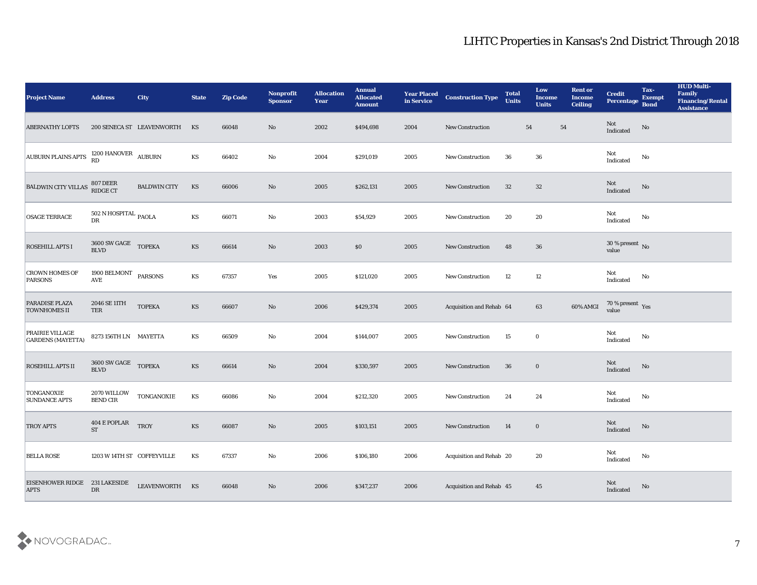| <b>Project Name</b>                         | <b>Address</b>                                        | <b>City</b>                  | <b>State</b> | <b>Zip Code</b> | Nonprofit<br><b>Sponsor</b> | <b>Allocation</b><br>Year | <b>Annual</b><br><b>Allocated</b><br><b>Amount</b> | <b>Year Placed</b><br>in Service | <b>Construction Type</b> | <b>Total</b><br><b>Units</b> | Low<br>Income<br><b>Units</b> | <b>Rent or</b><br><b>Income</b><br><b>Ceiling</b> | <b>Credit</b><br>Percentage                | Tax-<br><b>Exempt</b><br><b>Bond</b> | <b>HUD Multi-</b><br>Family<br><b>Financing/Rental</b><br><b>Assistance</b> |
|---------------------------------------------|-------------------------------------------------------|------------------------------|--------------|-----------------|-----------------------------|---------------------------|----------------------------------------------------|----------------------------------|--------------------------|------------------------------|-------------------------------|---------------------------------------------------|--------------------------------------------|--------------------------------------|-----------------------------------------------------------------------------|
| <b>ABERNATHY LOFTS</b>                      |                                                       | 200 SENECA ST LEAVENWORTH KS |              | 66048           | No                          | 2002                      | \$494,698                                          | 2004                             | <b>New Construction</b>  | 54                           | 54                            |                                                   | Not<br>Indicated                           | No                                   |                                                                             |
| AUBURN PLAINS APTS 1200 HANOVER AUBURN      |                                                       |                              | KS           | 66402           | $\mathbf{No}$               | 2004                      | \$291,019                                          | 2005                             | New Construction         | 36                           | 36                            |                                                   | Not<br>Indicated                           | No                                   |                                                                             |
| <b>BALDWIN CITY VILLAS</b>                  | 807 DEER<br>RIDGE CT                                  | <b>BALDWIN CITY</b>          | KS           | 66006           | No                          | 2005                      | \$262,131                                          | 2005                             | <b>New Construction</b>  | 32                           | 32                            |                                                   | Not<br>Indicated                           | No                                   |                                                                             |
| <b>OSAGE TERRACE</b>                        | $502$ N HOSPITAL $_{\rm PAOLA}$<br>DR                 |                              | KS           | 66071           | No                          | 2003                      | \$54,929                                           | 2005                             | <b>New Construction</b>  | 20                           | 20                            |                                                   | Not<br>Indicated                           | No                                   |                                                                             |
| <b>ROSEHILL APTS I</b>                      | $3600 \; \mathrm{SW} \; \mathrm{GAGE}$ TOPEKA BLVD    |                              | KS           | 66614           | $\mathbf{N}\mathbf{o}$      | 2003                      | \$0                                                | 2005                             | <b>New Construction</b>  | 48                           | 36                            |                                                   | $30\,\%$ present $\,$ No value             |                                      |                                                                             |
| <b>CROWN HOMES OF</b><br><b>PARSONS</b>     | 1900 BELMONT PARSONS<br>$\operatorname{\mathbf{AVE}}$ |                              | KS           | 67357           | Yes                         | 2005                      | \$121,020                                          | 2005                             | <b>New Construction</b>  | 12                           | 12                            |                                                   | Not<br>Indicated                           | No                                   |                                                                             |
| PARADISE PLAZA<br><b>TOWNHOMES II</b>       | 2046 SE 11TH<br>TER                                   | <b>TOPEKA</b>                | KS           | 66607           | No                          | 2006                      | \$429,374                                          | 2005                             | Acquisition and Rehab 64 |                              | 63                            | 60% AMGI                                          | $70\,\%$ present $\,\mathrm{Yes}$ value    |                                      |                                                                             |
| PRAIRIE VILLAGE<br><b>GARDENS (MAYETTA)</b> | 8273 156TH LN MAYETTA                                 |                              | KS           | 66509           | No                          | 2004                      | \$144,007                                          | 2005                             | <b>New Construction</b>  | 15                           | $\bf{0}$                      |                                                   | Not<br>Indicated                           | No                                   |                                                                             |
| ROSEHILL APTS II                            | 3600 SW GAGE TOPEKA<br>$\operatorname{BLVD}$          |                              | KS           | 66614           | $\rm\thinspace No$          | 2004                      | \$330,597                                          | 2005                             | New Construction         | 36                           | $\bf{0}$                      |                                                   | Not<br>Indicated                           | No                                   |                                                                             |
| <b>TONGANOXIE</b><br><b>SUNDANCE APTS</b>   | 2070 WILLOW<br><b>BEND CIR</b>                        | TONGANOXIE                   | KS           | 66086           | No                          | 2004                      | \$212,320                                          | 2005                             | New Construction         | 24                           | 24                            |                                                   | Not<br>$\operatorname{Indicated}$          | No                                   |                                                                             |
| <b>TROY APTS</b>                            | 404 E POPLAR TROY<br><b>ST</b>                        |                              | <b>KS</b>    | 66087           | No                          | 2005                      | \$103,151                                          | 2005                             | <b>New Construction</b>  | 14                           | $\bf{0}$                      |                                                   | Not<br>Indicated                           | No                                   |                                                                             |
| <b>BELLA ROSE</b>                           | 1203 W 14TH ST COFFEYVILLE                            |                              | KS           | 67337           | $\rm\thinspace No$          | 2006                      | \$106,180                                          | 2006                             | Acquisition and Rehab 20 |                              | 20                            |                                                   | Not<br>Indicated                           | $\rm\thinspace No$                   |                                                                             |
| <b>EISENHOWER RIDGE</b><br><b>APTS</b>      | 231 LAKESIDE<br>${\rm DR}$                            | LEAVENWORTH KS               |              | 66048           | $\rm\thinspace No$          | 2006                      | \$347,237                                          | 2006                             | Acquisition and Rehab 45 |                              | 45                            |                                                   | $\operatorname{\mathsf{Not}}$<br>Indicated | $\rm No$                             |                                                                             |

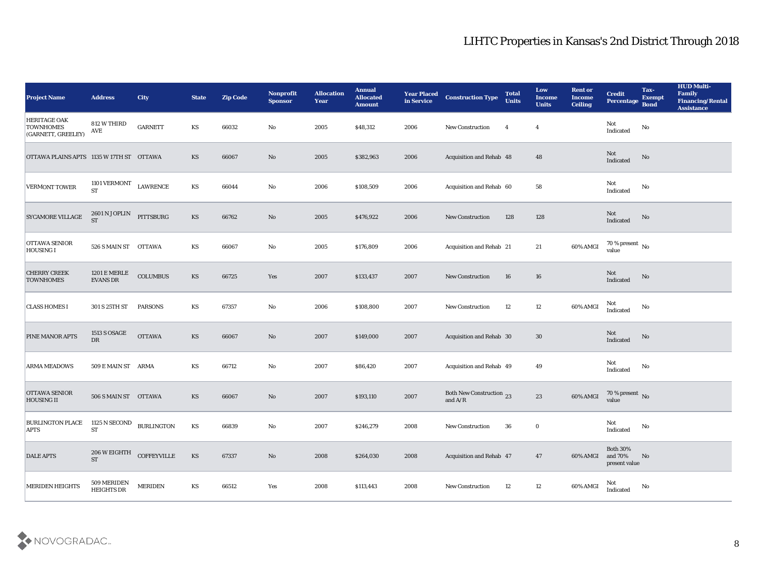| <b>Project Name</b>                                           | <b>Address</b>                                              | <b>City</b>       | <b>State</b>           | <b>Zip Code</b> | Nonprofit<br><b>Sponsor</b> | <b>Allocation</b><br><b>Year</b> | <b>Annual</b><br><b>Allocated</b><br><b>Amount</b> | <b>Year Placed</b><br>in Service | <b>Construction Type</b>              | <b>Total</b><br><b>Units</b> | Low<br><b>Income</b><br><b>Units</b> | <b>Rent or</b><br><b>Income</b><br><b>Ceiling</b> | <b>Credit</b><br>Percentage             | Tax-<br><b>Exempt</b><br><b>Bond</b> | <b>HUD Multi-</b><br>Family<br><b>Financing/Rental</b><br><b>Assistance</b> |
|---------------------------------------------------------------|-------------------------------------------------------------|-------------------|------------------------|-----------------|-----------------------------|----------------------------------|----------------------------------------------------|----------------------------------|---------------------------------------|------------------------------|--------------------------------------|---------------------------------------------------|-----------------------------------------|--------------------------------------|-----------------------------------------------------------------------------|
| <b>HERITAGE OAK</b><br><b>TOWNHOMES</b><br>(GARNETT, GREELEY) | 812 W THIRD<br>AVE                                          | <b>GARNETT</b>    | KS                     | 66032           | No                          | 2005                             | \$48,312                                           | 2006                             | <b>New Construction</b>               | $\overline{4}$               | $\overline{4}$                       |                                                   | Not<br>Indicated                        | No                                   |                                                                             |
| OTTAWA PLAINS APTS 1135 W 17TH ST OTTAWA                      |                                                             |                   | KS                     | 66067           | No                          | 2005                             | \$382,963                                          | 2006                             | Acquisition and Rehab 48              |                              | 48                                   |                                                   | Not<br>Indicated                        | No                                   |                                                                             |
| <b>VERMONT TOWER</b>                                          | 1101 VERMONT $$\sf LAWRENCE$$<br><b>ST</b>                  |                   | KS                     | 66044           | No                          | 2006                             | \$108,509                                          | 2006                             | Acquisition and Rehab 60              |                              | 58                                   |                                                   | Not<br>Indicated                        | No                                   |                                                                             |
| <b>SYCAMORE VILLAGE</b>                                       | 2601 N JOPLIN<br><b>ST</b>                                  | PITTSBURG         | KS                     | 66762           | No                          | 2005                             | \$476,922                                          | 2006                             | <b>New Construction</b>               | 128                          | 128                                  |                                                   | Not<br>Indicated                        | No                                   |                                                                             |
| <b>OTTAWA SENIOR</b><br><b>HOUSING I</b>                      | 526 S MAIN ST OTTAWA                                        |                   | KS                     | 66067           | No                          | 2005                             | \$176,809                                          | 2006                             | <b>Acquisition and Rehab 21</b>       |                              | 21                                   | 60% AMGI                                          | $70\,\%$ present $\,$ No value          |                                      |                                                                             |
| <b>CHERRY CREEK</b><br><b>TOWNHOMES</b>                       | <b>1201 E MERLE</b><br>EVANS DR                             | <b>COLUMBUS</b>   | KS                     | 66725           | Yes                         | 2007                             | \$133,437                                          | 2007                             | New Construction                      | 16                           | 16                                   |                                                   | <b>Not</b><br>Indicated                 | No                                   |                                                                             |
| <b>CLASS HOMES I</b>                                          | 301 S 25TH ST                                               | <b>PARSONS</b>    | KS                     | 67357           | No                          | 2006                             | \$108,800                                          | 2007                             | <b>New Construction</b>               | 12                           | 12                                   | 60% AMGI                                          | Not<br>Indicated                        | No                                   |                                                                             |
| <b>PINE MANOR APTS</b>                                        | <b>1513 S OSAGE</b><br>DR                                   | <b>OTTAWA</b>     | KS                     | 66067           | No                          | 2007                             | \$149,000                                          | 2007                             | Acquisition and Rehab 30              |                              | 30                                   |                                                   | <b>Not</b><br>Indicated                 | No                                   |                                                                             |
| <b>ARMA MEADOWS</b>                                           | 509 E MAIN ST ARMA                                          |                   | KS                     | 66712           | No                          | 2007                             | \$86,420                                           | 2007                             | Acquisition and Rehab 49              |                              | 49                                   |                                                   | Not<br>Indicated                        | No                                   |                                                                             |
| <b>OTTAWA SENIOR</b><br><b>HOUSING II</b>                     | 506 S MAIN ST OTTAWA                                        |                   | <b>KS</b>              | 66067           | No                          | 2007                             | \$193,110                                          | 2007                             | Both New Construction 23<br>and $A/R$ |                              | 23                                   | 60% AMGI                                          | $70\,\%$ present $\,$ No value          |                                      |                                                                             |
| <b>BURLINGTON PLACE</b><br><b>APTS</b>                        | 1125 N SECOND<br><b>ST</b>                                  | <b>BURLINGTON</b> | KS                     | 66839           | No                          | 2007                             | \$246,279                                          | 2008                             | <b>New Construction</b>               | 36                           | $\bf{0}$                             |                                                   | Not<br>Indicated                        | No                                   |                                                                             |
| <b>DALE APTS</b>                                              | $206\,\mathrm{W}\,\mathrm{EIGHTH}$ COFFEYVILLE<br><b>ST</b> |                   | KS                     | 67337           | $\mathbf {No}$              | 2008                             | \$264,030                                          | 2008                             | Acquisition and Rehab 47              |                              | 47                                   | 60% AMGI                                          | Both $30\%$<br>and 70%<br>present value | N <sub>o</sub>                       |                                                                             |
| <b>MERIDEN HEIGHTS</b>                                        | 509 MERIDEN<br><b>HEIGHTS DR</b>                            | <b>MERIDEN</b>    | $\mathbf{K}\mathbf{S}$ | 66512           | $\mathbf{Yes}$              | 2008                             | \$113,443                                          | 2008                             | New Construction                      | 12                           | $12\,$                               | 60% AMGI                                          | Not<br>Indicated                        | $\rm No$                             |                                                                             |

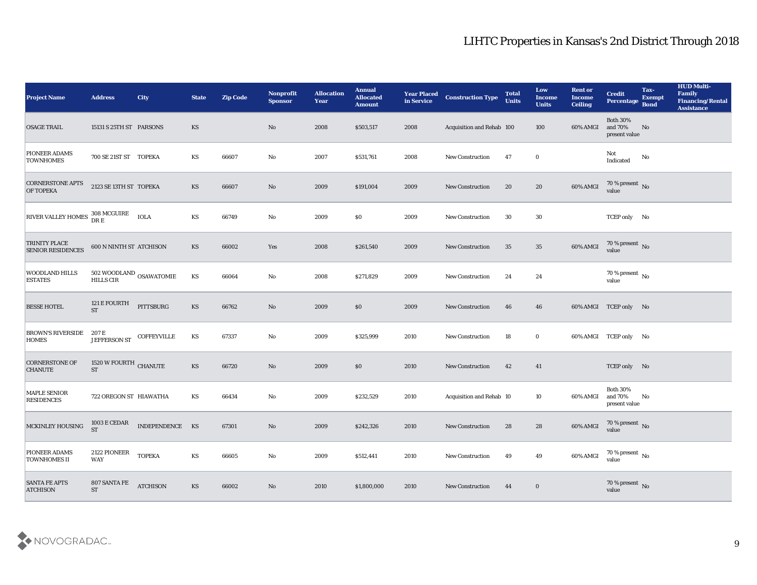| <b>Project Name</b>                              | <b>Address</b>                                  | <b>City</b>        | <b>State</b>           | <b>Zip Code</b> | Nonprofit<br><b>Sponsor</b> | <b>Allocation</b><br>Year | Annual<br><b>Allocated</b><br><b>Amount</b> | <b>Year Placed</b><br>in Service | <b>Construction Type</b>  | <b>Total</b><br><b>Units</b> | Low<br><b>Income</b><br><b>Units</b> | <b>Rent or</b><br><b>Income</b><br><b>Ceiling</b> | <b>Credit</b><br>Percentage                 | Tax-<br><b>Exempt</b><br>Bond | <b>HUD Multi-</b><br>Family<br><b>Financing/Rental</b><br><b>Assistance</b> |
|--------------------------------------------------|-------------------------------------------------|--------------------|------------------------|-----------------|-----------------------------|---------------------------|---------------------------------------------|----------------------------------|---------------------------|------------------------------|--------------------------------------|---------------------------------------------------|---------------------------------------------|-------------------------------|-----------------------------------------------------------------------------|
| <b>OSAGE TRAIL</b>                               | 15131 S 25TH ST PARSONS                         |                    | KS                     |                 | No                          | 2008                      | \$503,517                                   | 2008                             | Acquisition and Rehab 100 |                              | 100                                  | 60% AMGI                                          | <b>Both 30%</b><br>and 70%<br>present value | No                            |                                                                             |
| PIONEER ADAMS<br><b>TOWNHOMES</b>                | 700 SE 21ST ST TOPEKA                           |                    | KS                     | 66607           | No                          | 2007                      | \$531,761                                   | 2008                             | <b>New Construction</b>   | 47                           | $\bf{0}$                             |                                                   | Not<br>$\operatorname{Indicated}$           | No                            |                                                                             |
| <b>CORNERSTONE APTS</b><br>OF TOPEKA             | 2123 SE 13TH ST TOPEKA                          |                    | <b>KS</b>              | 66607           | No                          | 2009                      | \$191,004                                   | 2009                             | <b>New Construction</b>   | 20                           | 20                                   | 60% AMGI                                          | $70\,\%$ present $\,$ No value              |                               |                                                                             |
| RIVER VALLEY HOMES                               | 308 MCGUIRE<br>DR E                             | <b>IOLA</b>        | KS                     | 66749           | No                          | 2009                      | $\$0$                                       | 2009                             | <b>New Construction</b>   | 30                           | 30                                   |                                                   | TCEP only No                                |                               |                                                                             |
| <b>TRINITY PLACE</b><br><b>SENIOR RESIDENCES</b> | <b>600 N NINTH ST ATCHISON</b>                  |                    | KS                     | 66002           | Yes                         | 2008                      | \$261,540                                   | 2009                             | <b>New Construction</b>   | 35                           | 35                                   | 60% AMGI                                          | $70\,\%$ present $\,$ No value              |                               |                                                                             |
| <b>WOODLAND HILLS</b><br><b>ESTATES</b>          | 502 WOODLAND OSAWATOMIE<br>HILLS CIR            |                    | KS                     | 66064           | No                          | 2008                      | \$271,829                                   | 2009                             | <b>New Construction</b>   | 24                           | 24                                   |                                                   | $70\,\%$ present $\,$ No value              |                               |                                                                             |
| <b>BESSE HOTEL</b>                               | 121 E FOURTH<br><b>ST</b>                       | PITTSBURG          | KS                     | 66762           | No                          | 2009                      | $\$0$                                       | 2009                             | New Construction          | 46                           | 46                                   |                                                   | 60% AMGI TCEP only No                       |                               |                                                                             |
| <b>BROWN'S RIVERSIDE</b><br>HOMES                | 207 E<br><b>JEFFERSON ST</b>                    | <b>COFFEYVILLE</b> | KS                     | 67337           | No                          | 2009                      | \$325,999                                   | 2010                             | <b>New Construction</b>   | 18                           | $\bf{0}$                             |                                                   | 60% AMGI TCEP only No                       |                               |                                                                             |
| <b>CORNERSTONE OF</b><br><b>CHANUTE</b>          | 1520 W FOURTH CHANUTE<br><b>ST</b>              |                    | KS                     | 66720           | No                          | 2009                      | $\$0$                                       | 2010                             | <b>New Construction</b>   | 42                           | 41                                   |                                                   | TCEP only No                                |                               |                                                                             |
| MAPLE SENIOR<br><b>RESIDENCES</b>                | 722 OREGON ST HIAWATHA                          |                    | KS                     | 66434           | No                          | 2009                      | \$232,529                                   | 2010                             | Acquisition and Rehab 10  |                              | 10                                   | 60% AMGI                                          | <b>Both 30%</b><br>and 70%<br>present value | No                            |                                                                             |
| MCKINLEY HOUSING                                 | $1003\,\mathrm{E}\,\mathrm{CEDAR}$<br><b>ST</b> | INDEPENDENCE KS    |                        | 67301           | No                          | 2009                      | \$242,326                                   | 2010                             | <b>New Construction</b>   | 28                           | 28                                   | 60% AMGI                                          | 70 % present No<br>value                    |                               |                                                                             |
| PIONEER ADAMS<br><b>TOWNHOMES II</b>             | 2122 PIONEER<br>WAY                             | <b>TOPEKA</b>      | KS                     | 66605           | $\mathbf {No}$              | 2009                      | \$512,441                                   | 2010                             | New Construction          | 49                           | 49                                   | 60% AMGI                                          | $70\,\%$ present $\,$ No value              |                               |                                                                             |
| <b>SANTA FE APTS</b><br><b>ATCHISON</b>          | 807 SANTA FE<br>ST                              | <b>ATCHISON</b>    | $\mathbf{K}\mathbf{S}$ | 66002           | $\mathbf {No}$              | 2010                      | \$1,800,000                                 | 2010                             | <b>New Construction</b>   | 44                           | $\bf{0}$                             |                                                   | $70\,\%$ present $\,$ No value              |                               |                                                                             |

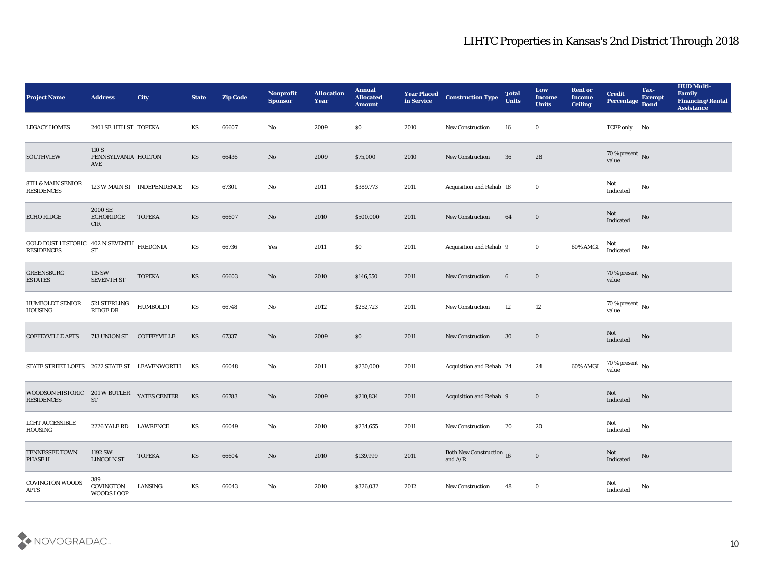| <b>Project Name</b>                                            | <b>Address</b>                      | <b>City</b>                | <b>State</b>           | <b>Zip Code</b> | Nonprofit<br><b>Sponsor</b> | <b>Allocation</b><br><b>Year</b> | <b>Annual</b><br><b>Allocated</b><br><b>Amount</b> | <b>Year Placed</b><br>in Service | <b>Construction Type</b>                                                                 | <b>Total</b><br><b>Units</b> | Low<br><b>Income</b><br><b>Units</b> | <b>Rent or</b><br><b>Income</b><br><b>Ceiling</b> | <b>Credit</b><br>Percentage        | Tax-<br><b>Exempt</b><br><b>Bond</b> | <b>HUD Multi-</b><br>Family<br><b>Financing/Rental</b><br><b>Assistance</b> |
|----------------------------------------------------------------|-------------------------------------|----------------------------|------------------------|-----------------|-----------------------------|----------------------------------|----------------------------------------------------|----------------------------------|------------------------------------------------------------------------------------------|------------------------------|--------------------------------------|---------------------------------------------------|------------------------------------|--------------------------------------|-----------------------------------------------------------------------------|
| <b>LEGACY HOMES</b>                                            | 2401 SE 11TH ST TOPEKA              |                            | KS                     | 66607           | No                          | 2009                             | $\$0$                                              | 2010                             | New Construction                                                                         | 16                           | $\bf{0}$                             |                                                   | TCEP only No                       |                                      |                                                                             |
| <b>SOUTHVIEW</b>                                               | 110 S<br>PENNSYLVANIA HOLTON<br>AVE |                            | KS                     | 66436           | No                          | 2009                             | \$75,000                                           | 2010                             | New Construction                                                                         | 36                           | 28                                   |                                                   | 70 % present No<br>value           |                                      |                                                                             |
| <b>8TH &amp; MAIN SENIOR</b><br><b>RESIDENCES</b>              |                                     | 123 W MAIN ST INDEPENDENCE | KS                     | 67301           | No                          | 2011                             | \$389,773                                          | 2011                             | Acquisition and Rehab 18                                                                 |                              | $\bf{0}$                             |                                                   | Not<br>Indicated                   | No                                   |                                                                             |
| <b>ECHO RIDGE</b>                                              | 2000 SE<br><b>ECHORIDGE</b><br>CIR  | <b>TOPEKA</b>              | <b>KS</b>              | 66607           | No                          | 2010                             | \$500,000                                          | 2011                             | New Construction                                                                         | 64                           | $\bf{0}$                             |                                                   | Not<br>Indicated                   | No                                   |                                                                             |
| GOLD DUST HISTORIC 402 N SEVENTH FREDONIA<br><b>RESIDENCES</b> | ${\cal S}{\cal T}$                  |                            | KS                     | 66736           | Yes                         | 2011                             | $\$0$                                              | 2011                             | Acquisition and Rehab 9                                                                  |                              | $\bf{0}$                             | 60% AMGI                                          | Not<br>Indicated                   | No                                   |                                                                             |
| <b>GREENSBURG</b><br><b>ESTATES</b>                            | 115 SW<br>SEVENTH ST                | <b>TOPEKA</b>              | KS                     | 66603           | No                          | 2010                             | \$146,550                                          | 2011                             | New Construction                                                                         | $6\phantom{.}6$              | $\bf{0}$                             |                                                   | $70\,\%$ present $\,$ No value     |                                      |                                                                             |
| <b>HUMBOLDT SENIOR</b><br><b>HOUSING</b>                       | 521 STERLING<br>RIDGE DR            | <b>HUMBOLDT</b>            | KS                     | 66748           | No                          | 2012                             | \$252,723                                          | 2011                             | <b>New Construction</b>                                                                  | 12                           | 12                                   |                                                   | 70 % present No<br>value           |                                      |                                                                             |
| <b>COFFEYVILLE APTS</b>                                        | 713 UNION ST                        | <b>COFFEYVILLE</b>         | <b>KS</b>              | 67337           | No                          | 2009                             | \$0                                                | 2011                             | <b>New Construction</b>                                                                  | 30                           | $\bf{0}$                             |                                                   | Not<br>Indicated                   | No                                   |                                                                             |
| STATE STREET LOFTS 2622 STATE ST                               |                                     | LEAVENWORTH                | KS                     | 66048           | No                          | 2011                             | \$230,000                                          | 2011                             | Acquisition and Rehab 24                                                                 |                              | 24                                   | 60% AMGI                                          | 70 % present $\,$ No $\,$<br>value |                                      |                                                                             |
| WOODSON HISTORIC 201 W BUTLER<br><b>RESIDENCES</b>             | <b>ST</b>                           | YATES CENTER               | KS                     | 66783           | No                          | 2009                             | \$210,834                                          | 2011                             | Acquisition and Rehab 9                                                                  |                              | $\bf{0}$                             |                                                   | Not<br>Indicated                   | No                                   |                                                                             |
| <b>LCHT ACCESSIBLE</b><br>HOUSING                              | 2226 YALE RD LAWRENCE               |                            | KS                     | 66049           | No                          | 2010                             | \$234,655                                          | 2011                             | <b>New Construction</b>                                                                  | 20                           | 20                                   |                                                   | Not<br>Indicated                   | No                                   |                                                                             |
| <b>TENNESSEE TOWN</b><br><b>PHASE II</b>                       | 1192 SW<br>LINCOLN ST               | <b>TOPEKA</b>              | $\mathbf{K}\mathbf{S}$ | 66604           | $\rm\thinspace No$          | 2010                             | \$139,999                                          | 2011                             | <b>Both New Construction 16</b><br>and $\ensuremath{\mathrm{A}}/\ensuremath{\mathrm{R}}$ |                              | $\bf{0}$                             |                                                   | Not<br>Indicated                   | $\rm\thinspace No$                   |                                                                             |
| <b>COVINGTON WOODS</b><br><b>APTS</b>                          | 389<br>COVINGTON<br>WOODS LOOP      | LANSING                    | KS                     | 66043           | $\mathbf {No}$              | 2010                             | \$326,032                                          | 2012                             | New Construction                                                                         | 48                           | $\bf{0}$                             |                                                   | Not<br>Indicated                   | No                                   |                                                                             |

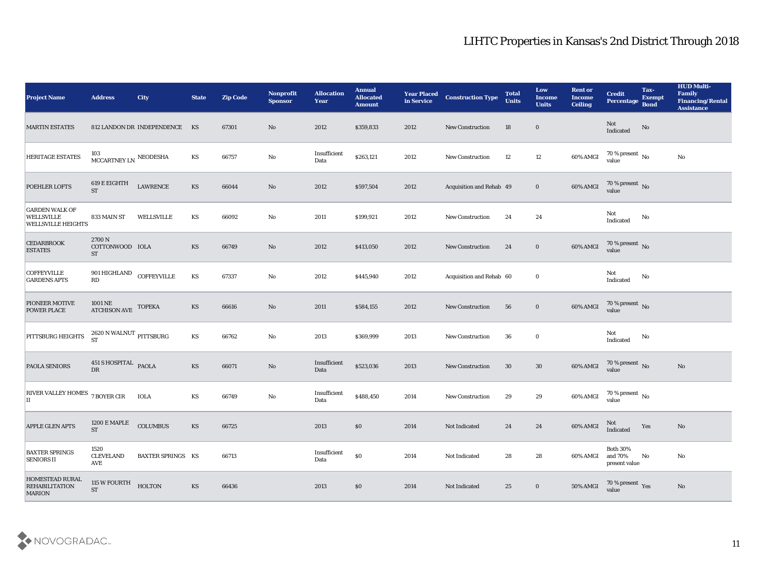| <b>Project Name</b>                                                     | <b>Address</b>                                      | <b>City</b>                   | <b>State</b>           | <b>Zip Code</b> | Nonprofit<br><b>Sponsor</b> | <b>Allocation</b><br><b>Year</b> | <b>Annual</b><br><b>Allocated</b><br><b>Amount</b> | <b>Year Placed<br/>in Service</b> | <b>Construction Type</b> | <b>Total</b><br><b>Units</b> | Low<br><b>Income</b><br><b>Units</b> | <b>Rent or</b><br><b>Income</b><br><b>Ceiling</b> | <b>Credit</b><br><b>Percentage</b>          | Tax-<br><b>Exempt</b><br><b>Bond</b> | <b>HUD Multi-</b><br>Family<br><b>Financing/Rental</b><br><b>Assistance</b> |
|-------------------------------------------------------------------------|-----------------------------------------------------|-------------------------------|------------------------|-----------------|-----------------------------|----------------------------------|----------------------------------------------------|-----------------------------------|--------------------------|------------------------------|--------------------------------------|---------------------------------------------------|---------------------------------------------|--------------------------------------|-----------------------------------------------------------------------------|
| <b>MARTIN ESTATES</b>                                                   |                                                     | 812 LANDON DR INDEPENDENCE KS |                        | 67301           | $\mathbf{N}\mathbf{o}$      | 2012                             | \$359,833                                          | 2012                              | New Construction         | 18                           | $\bf{0}$                             |                                                   | Not<br>Indicated                            | No                                   |                                                                             |
| <b>HERITAGE ESTATES</b>                                                 | $103$ ${\rm MCCARTNEY}$ LN ${\rm NEODESHA}$         |                               | KS                     | 66757           | $\mathbf{No}$               | Insufficient<br>Data             | \$263,121                                          | 2012                              | New Construction         | 12                           | 12                                   | 60% AMGI                                          | $70$ % present $\,$ No $\,$ value           |                                      | No                                                                          |
| POEHLER LOFTS                                                           | 619 E EIGHTH<br><b>ST</b>                           | <b>LAWRENCE</b>               | KS                     | 66044           | $\mathbf{N}\mathbf{o}$      | 2012                             | \$597,504                                          | 2012                              | Acquisition and Rehab 49 |                              | $\bf{0}$                             | 60% AMGI                                          | $70\,\%$ present $\,$ No value              |                                      |                                                                             |
| <b>GARDEN WALK OF</b><br><b>WELLSVILLE</b><br><b>WELLSVILLE HEIGHTS</b> | 833 MAIN ST                                         | WELLSVILLE                    | KS                     | 66092           | No                          | 2011                             | \$199,921                                          | 2012                              | New Construction         | 24                           | 24                                   |                                                   | Not<br>Indicated                            | No                                   |                                                                             |
| <b>CEDARBROOK</b><br><b>ESTATES</b>                                     | 2700 N<br>COTTONWOOD IOLA<br><b>ST</b>              |                               | KS                     | 66749           | $\mathbf{N}\mathbf{o}$      | 2012                             | \$413,050                                          | 2012                              | <b>New Construction</b>  | 24                           | $\bf{0}$                             | 60% AMGI                                          | $70\,\%$ present $\,$ No value              |                                      |                                                                             |
| <b>COFFEYVILLE</b><br><b>GARDENS APTS</b>                               | 901 HIGHLAND COFFEYVILLE<br>RD                      |                               | KS                     | 67337           | No                          | 2012                             | \$445,940                                          | 2012                              | Acquisition and Rehab 60 |                              | $\bf{0}$                             |                                                   | Not<br>Indicated                            | No                                   |                                                                             |
| PIONEER MOTIVE<br><b>POWER PLACE</b>                                    | $1001\,\mathrm{NE}$ TOPEKA ATCHISON AVE $\,$ TOPEKA |                               | KS                     | 66616           | $\mathbf {No}$              | 2011                             | \$584,155                                          | 2012                              | New Construction         | 56                           | $\bf{0}$                             | 60% AMGI                                          | $70\,\%$ present $\,$ No value              |                                      |                                                                             |
| PITTSBURG HEIGHTS                                                       | $2620$ N WALNUT $_{\rm PITTSBURG}$ ST               |                               | KS                     | 66762           | No                          | 2013                             | \$369,999                                          | 2013                              | <b>New Construction</b>  | 36                           | $\bf{0}$                             |                                                   | Not<br>Indicated                            | No                                   |                                                                             |
| <b>PAOLA SENIORS</b>                                                    | 451 S HOSPITAL PAOLA<br><b>DR</b>                   |                               | KS                     | 66071           | No                          | Insufficient<br>Data             | \$523,036                                          | 2013                              | New Construction         | 30                           | 30                                   | 60% AMGI                                          | $70\,\%$ present $\,$ No value              |                                      | No                                                                          |
| <b>RIVER VALLEY HOMES</b><br>П                                          | 7 BOYER CIR                                         | <b>IOLA</b>                   | $\mathbf{K}\mathbf{S}$ | 66749           | $\mathbf {No}$              | $\bold{Insufficient}$<br>Data    | \$488,450                                          | 2014                              | <b>New Construction</b>  | 29                           | 29                                   | 60% AMGI                                          | $70\,\%$ present $\,$ No value              |                                      |                                                                             |
| <b>APPLE GLEN APTS</b>                                                  | 1200 E MAPLE<br><b>ST</b>                           | <b>COLUMBUS</b>               | KS                     | 66725           |                             | 2013                             | \$0                                                | 2014                              | Not Indicated            | 24                           | 24                                   | 60% AMGI                                          | Not<br>Indicated                            | Yes                                  | No                                                                          |
| <b>BAXTER SPRINGS</b><br><b>SENIORS II</b>                              | 1520<br><b>CLEVELAND</b><br>AVE                     | <b>BAXTER SPRINGS KS</b>      |                        | 66713           |                             | Insufficient<br>Data             | $\$0$                                              | 2014                              | Not Indicated            | 28                           | 28                                   | 60% AMGI                                          | <b>Both 30%</b><br>and 70%<br>present value | No                                   | $\mathbf {No}$                                                              |
| <b>HOMESTEAD RURAL</b><br><b>REHABILITATION</b><br><b>MARION</b>        | 115 W FOURTH<br><b>ST</b>                           | <b>HOLTON</b>                 | KS                     | 66436           |                             | 2013                             | $\$0$                                              | 2014                              | Not Indicated            | 25                           | $\bf{0}$                             | 50% AMGI                                          | $70\,\%$ present $\,$ Yes value             |                                      | $\rm\thinspace No$                                                          |

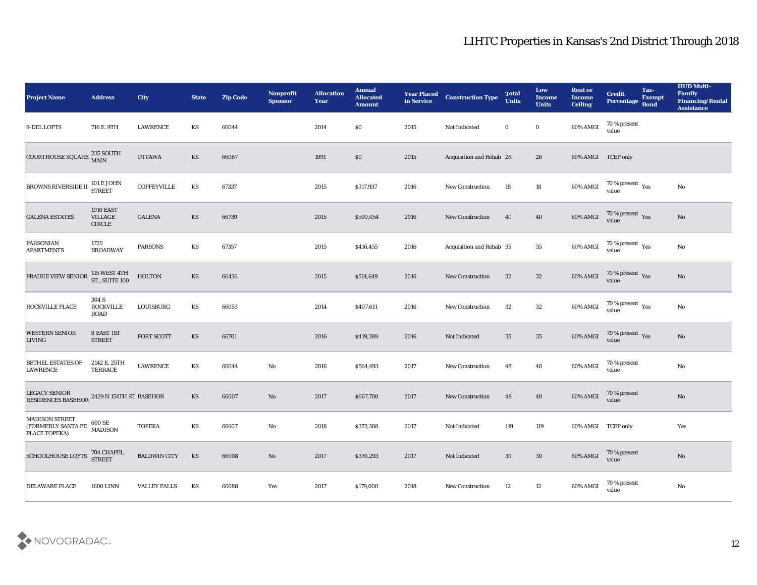| <b>Project Name</b>                                                                                             | <b>Address</b>                                      | <b>City</b>         | <b>State</b> | <b>Zip Code</b> | Nonprofit<br><b>Sponsor</b> | <b>Allocation</b><br><b>Year</b> | <b>Annual</b><br><b>Allocated</b><br><b>Amount</b> | <b>Year Placed</b><br>in Service | <b>Construction Type</b> | <b>Total</b><br><b>Units</b> | Low<br><b>Income</b><br><b>Units</b> | <b>Rent or</b><br><b>Income</b><br><b>Ceiling</b> | <b>Credit</b><br>Percentage               | Tax-<br><b>Exempt</b><br><b>Bond</b> | <b>HUD Multi-</b><br>Family<br><b>Financing/Rental</b><br><b>Assistance</b> |
|-----------------------------------------------------------------------------------------------------------------|-----------------------------------------------------|---------------------|--------------|-----------------|-----------------------------|----------------------------------|----------------------------------------------------|----------------------------------|--------------------------|------------------------------|--------------------------------------|---------------------------------------------------|-------------------------------------------|--------------------------------------|-----------------------------------------------------------------------------|
| 9-DEL LOFTS                                                                                                     | 716 E. 9TH                                          | <b>LAWRENCE</b>     | KS           | 66044           |                             | 2014                             | $\$0$                                              | 2015                             | Not Indicated            | $\bf{0}$                     | $\bf{0}$                             | 60% AMGI                                          | 70 % present<br>value                     |                                      |                                                                             |
| COURTHOUSE SQUARE 235 SOUTH                                                                                     |                                                     | <b>OTTAWA</b>       | KS           | 66067           |                             | 1991                             | $\$0$                                              | 2015                             | Acquisition and Rehab 26 |                              | 26                                   | 60% AMGI TCEP only                                |                                           |                                      |                                                                             |
| BROWNS RIVERSIDE II STREET                                                                                      | <b>101 E JOHN</b>                                   | <b>COFFEYVILLE</b>  | KS           | 67337           |                             | 2015                             | \$317,937                                          | 2016                             | <b>New Construction</b>  | 18                           | 18                                   | 60% AMGI                                          | 70 % present $_{\rm Yes}$<br>value        |                                      | $\rm\thinspace No$                                                          |
| <b>GALENA ESTATES</b>                                                                                           | <b>1910 EAST</b><br><b>VILLAGE</b><br><b>CIRCLE</b> | <b>GALENA</b>       | <b>KS</b>    | 66739           |                             | 2015                             | \$590,054                                          | 2016                             | <b>New Construction</b>  | 40                           | 40                                   | 60% AMGI                                          | $70\,\%$ present $\,$ Yes value           |                                      | No                                                                          |
| <b>PARSONIAN</b><br><b>APARTMENTS</b>                                                                           | 1725<br><b>BROADWAY</b>                             | <b>PARSONS</b>      | KS           | 67357           |                             | 2015                             | \$416,455                                          | 2016                             | Acquisition and Rehab 35 |                              | 35                                   | 60% AMGI                                          | $70\,\%$ present $\,$ Yes value           |                                      | No                                                                          |
| PRAIRIE VIEW SENIOR                                                                                             | 115 WEST 4TH<br>ST., SUITE 100                      | <b>HOLTON</b>       | KS           | 66436           |                             | 2015                             | \$514,649                                          | 2016                             | New Construction         | 32                           | 32                                   | $60\%$ AMGI                                       | $70\,\%$ present $\;\;\mathrm{Yes}$ value |                                      | No                                                                          |
| ROCKVILLE PLACE                                                                                                 | 304 S<br><b>ROCKVILLE</b><br><b>ROAD</b>            | <b>LOUISBURG</b>    | KS           | 66053           |                             | 2014                             | \$407,611                                          | 2016                             | <b>New Construction</b>  | 32                           | 32                                   | 60% AMGI                                          | $70\,\%$ present $\,\mathrm{Yes}$ value   |                                      | No                                                                          |
| <b>WESTERN SENIOR</b><br>LIVING                                                                                 | 8 EAST 1ST<br><b>STREET</b>                         | FORT SCOTT          | KS           | 66701           |                             | 2016                             | \$419,389                                          | 2016                             | Not Indicated            | 35                           | 35                                   | 60% AMGI                                          | $70\,\%$ present $\,$ Yes value           |                                      | No                                                                          |
| <b>BETHEL ESTATES OF</b><br><b>LAWRENCE</b>                                                                     | 2142 E. 25TH<br><b>TERRACE</b>                      | <b>LAWRENCE</b>     | KS           | 66044           | No                          | 2016                             | \$564,493                                          | 2017                             | <b>New Construction</b>  | 48                           | 48                                   | 60% AMGI                                          | 70 % present<br>value                     |                                      | $\rm\thinspace No$                                                          |
| <b>LEGACY SENIOR</b><br><b>RESIDENCES BASEHOR</b>                                                               | 2429 N 154TH ST BASEHOR                             |                     | KS           | 66007           | No                          | 2017                             | \$667,700                                          | 2017                             | <b>New Construction</b>  | 48                           | 48                                   | 60% AMGI                                          | 70 % present<br>value                     |                                      | $\rm\thinspace No$                                                          |
| <b>MADISON STREET</b><br><b>EXECUTE AND SERVICE OUTSERVIEW AND SERVICE OUTSERVIEW AND ISON</b><br>PLACE TOPEKA) |                                                     | <b>TOPEKA</b>       | KS           | 66607           | No                          | 2018                             | \$372,388                                          | 2017                             | Not Indicated            | 119                          | 119                                  | 60% AMGI TCEP only                                |                                           |                                      | Yes                                                                         |
| <b>SCHOOLHOUSE LOFTS</b>                                                                                        | 704 CHAPEL<br>STREET                                | <b>BALDWIN CITY</b> | KS           | 66008           | $\rm\thinspace No$          | 2017                             | \$370,293                                          | 2017                             | Not Indicated            | 30                           | $30\,$                               | 60% AMGI                                          | 70 % present<br>value                     |                                      | $\rm No$                                                                    |
| <b>DELAWARE PLACE</b>                                                                                           | <b>1600 LINN</b>                                    | <b>VALLEY FALLS</b> | KS           | 66088           | $\mathbf{Yes}$              | 2017                             | \$179,000                                          | 2018                             | New Construction         | 12                           | 12                                   | 60% AMGI                                          | 70 % present<br>value                     |                                      | ${\bf No}$                                                                  |

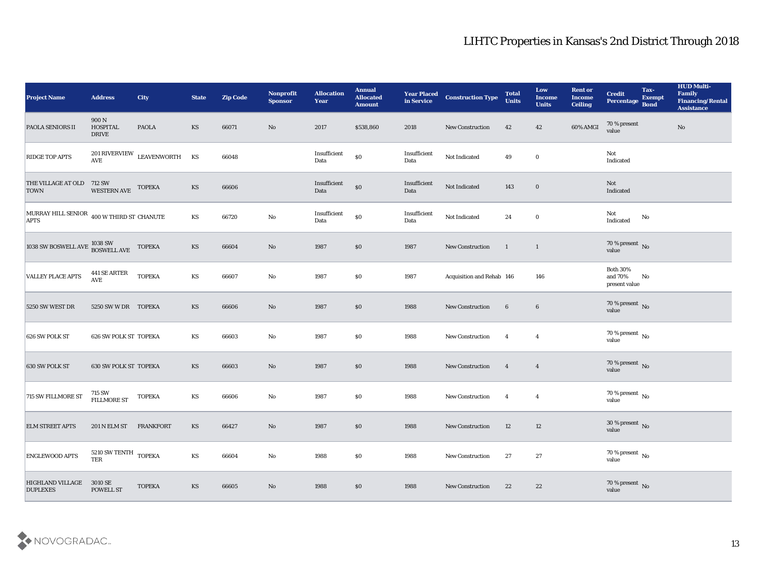| <b>Project Name</b>                                                    | <b>Address</b>                                            | <b>City</b>                                           | <b>State</b> | <b>Zip Code</b> | Nonprofit<br><b>Sponsor</b> | <b>Allocation</b><br><b>Year</b> | <b>Annual</b><br><b>Allocated</b><br><b>Amount</b> | <b>Year Placed<br/>in Service</b> | <b>Construction Type</b>  | <b>Total</b><br><b>Units</b> | Low<br><b>Income</b><br><b>Units</b> | <b>Rent or</b><br><b>Income</b><br><b>Ceiling</b> | <b>Credit</b><br>Percentage                 | Tax-<br><b>Exempt</b><br><b>Bond</b> | <b>HUD Multi-</b><br>Family<br><b>Financing/Rental</b><br><b>Assistance</b> |
|------------------------------------------------------------------------|-----------------------------------------------------------|-------------------------------------------------------|--------------|-----------------|-----------------------------|----------------------------------|----------------------------------------------------|-----------------------------------|---------------------------|------------------------------|--------------------------------------|---------------------------------------------------|---------------------------------------------|--------------------------------------|-----------------------------------------------------------------------------|
| <b>PAOLA SENIORS II</b>                                                | 900 N<br><b>HOSPITAL</b><br><b>DRIVE</b>                  | <b>PAOLA</b>                                          | KS           | 66071           | No                          | 2017                             | \$538,860                                          | 2018                              | <b>New Construction</b>   | 42                           | 42                                   | 60% AMGI                                          | 70 % present<br>value                       |                                      | No                                                                          |
| <b>RIDGE TOP APTS</b>                                                  |                                                           | $201\mbox{\,RIVERVIEW}\hspace{0.2cm}$ LEAVENWORTH AVE | KS           | 66048           |                             | Insufficient<br>Data             | $\$0$                                              | Insufficient<br>Data              | Not Indicated             | 49                           | $\bf{0}$                             |                                                   | Not<br>Indicated                            |                                      |                                                                             |
| THE VILLAGE AT OLD 712 SW<br><b>TOWN</b>                               | <b>WESTERN AVE</b>                                        | <b>TOPEKA</b>                                         | KS           | 66606           |                             | Insufficient<br>Data             | $\$0$                                              | Insufficient<br>Data              | Not Indicated             | 143                          | $\bf{0}$                             |                                                   | Not<br>Indicated                            |                                      |                                                                             |
| MURRAY HILL SENIOR $\,$ 400 W THIRD ST CHANUTE APTS                    |                                                           |                                                       | KS           | 66720           | $\mathbf {No}$              | $\bold{Insufficient}$<br>Data    | $\$0$                                              | Insufficient<br>Data              | Not Indicated             | 24                           | $\bf{0}$                             |                                                   | Not<br>Indicated                            | ${\bf No}$                           |                                                                             |
| $\left  \right.$ 1038 SW BOSWELL AVE $_{\rm{BOSWELL\;AVE}}^{1038\;SW}$ |                                                           | <b>TOPEKA</b>                                         | <b>KS</b>    | 66604           | No                          | 1987                             | $\$0$                                              | 1987                              | New Construction          | $\overline{1}$               | $\mathbf{1}$                         |                                                   | $70\,\%$ present $\,$ No value              |                                      |                                                                             |
| <b>VALLEY PLACE APTS</b>                                               | $441\,\mathrm{SE}$ ARTER<br>$\operatorname{\mathbf{AVE}}$ | <b>TOPEKA</b>                                         | KS           | 66607           | $\mathbf{No}$               | 1987                             | \$0                                                | 1987                              | Acquisition and Rehab 146 |                              | 146                                  |                                                   | <b>Both 30%</b><br>and 70%<br>present value | No                                   |                                                                             |
| 5250 SW WEST DR                                                        | 5250 SW W DR TOPEKA                                       |                                                       | KS           | 66606           | No                          | 1987                             | $\$0$                                              | 1988                              | New Construction          | $6\phantom{.}6$              | $6\phantom{.}6$                      |                                                   | $70\,\%$ present $\,$ No value              |                                      |                                                                             |
| 626 SW POLK ST                                                         | <b>626 SW POLK ST TOPEKA</b>                              |                                                       | KS           | 66603           | $\mathbf {No}$              | 1987                             | \$0                                                | 1988                              | New Construction          | $\overline{4}$               | $\overline{4}$                       |                                                   | $70\,\%$ present $\,$ No value              |                                      |                                                                             |
| 630 SW POLK ST                                                         | <b>630 SW POLK ST TOPEKA</b>                              |                                                       | KS           | 66603           | $\mathbf{N}\mathbf{o}$      | 1987                             | \$0                                                | 1988                              | New Construction          | $\overline{4}$               | $\overline{4}$                       |                                                   | $70\,\%$ present $\,$ No value              |                                      |                                                                             |
| 715 SW FILLMORE ST                                                     | 715 SW<br>FILLMORE ST                                     | <b>TOPEKA</b>                                         | KS           | 66606           | $\mathbf{No}$               | 1987                             | \$0                                                | 1988                              | New Construction          | $\overline{4}$               | $\overline{4}$                       |                                                   | $70\,\%$ present $\,$ No value              |                                      |                                                                             |
| <b>ELM STREET APTS</b>                                                 | 201 N ELM ST                                              | <b>FRANKFORT</b>                                      | KS           | 66427           | No                          | 1987                             | \$0                                                | 1988                              | <b>New Construction</b>   | 12                           | 12                                   |                                                   | $30\,\%$ present $\,$ No $\,$<br>value      |                                      |                                                                             |
| <b>ENGLEWOOD APTS</b>                                                  | $5210$ SW TENTH $\,$ TOPEKA<br>TER                        |                                                       | KS           | 66604           | $\mathbf{No}$               | 1988                             | $\boldsymbol{\mathsf{S}}\boldsymbol{\mathsf{O}}$   | 1988                              | New Construction          | 27                           | $\bf 27$                             |                                                   | $70\,\%$ present $\,$ No value              |                                      |                                                                             |
| <b>HIGHLAND VILLAGE</b><br><b>DUPLEXES</b>                             | 3010 SE<br><b>POWELL ST</b>                               | <b>TOPEKA</b>                                         | KS           | 66605           | $\rm\thinspace No$          | 1988                             | \$0                                                | 1988                              | New Construction          | 22                           | 22                                   |                                                   | $70\,\%$ present $\,$ No value              |                                      |                                                                             |

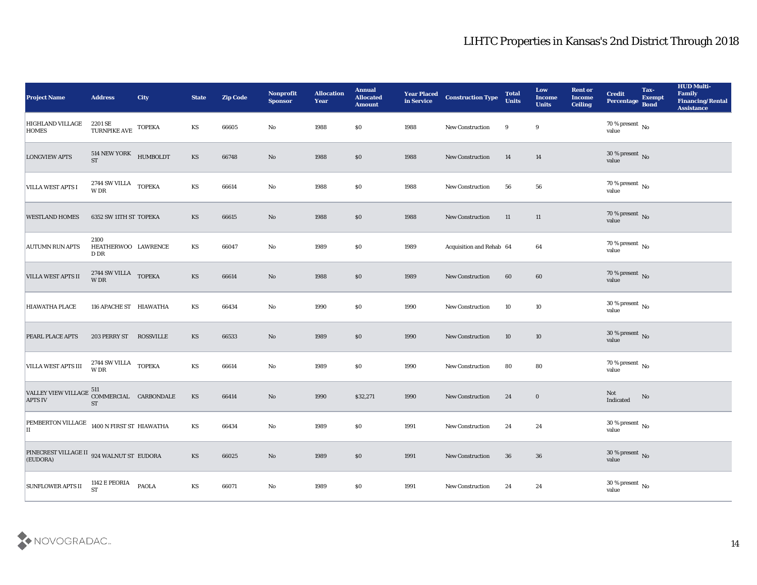| <b>Project Name</b>                                                           | <b>Address</b>                                               | <b>City</b>      | <b>State</b>           | <b>Zip Code</b> | Nonprofit<br><b>Sponsor</b> | <b>Allocation</b><br>Year | <b>Annual</b><br><b>Allocated</b><br><b>Amount</b> | <b>Year Placed</b><br>in Service | <b>Construction Type</b> | <b>Total</b><br><b>Units</b> | Low<br><b>Income</b><br><b>Units</b> | <b>Rent or</b><br><b>Income</b><br><b>Ceiling</b> | <b>Credit</b><br>Percentage       | Tax-<br><b>Exempt</b><br><b>Bond</b> | <b>HUD Multi-</b><br>Family<br><b>Financing/Rental</b><br><b>Assistance</b> |
|-------------------------------------------------------------------------------|--------------------------------------------------------------|------------------|------------------------|-----------------|-----------------------------|---------------------------|----------------------------------------------------|----------------------------------|--------------------------|------------------------------|--------------------------------------|---------------------------------------------------|-----------------------------------|--------------------------------------|-----------------------------------------------------------------------------|
| <b>HIGHLAND VILLAGE</b><br><b>HOMES</b>                                       | 2201 SE<br>TURNPIKE AVE TOPEKA                               |                  | KS                     | 66605           | No                          | 1988                      | \$0                                                | 1988                             | New Construction         | 9                            | 9                                    |                                                   | $70$ % present $\,$ No value      |                                      |                                                                             |
| <b>LONGVIEW APTS</b>                                                          | $514$ NEW YORK $$\rm HUMBOLDT$$ $$\rm \,$ KUMBOLDT           |                  | KS                     | 66748           | No                          | 1988                      | \$0                                                | 1988                             | New Construction         | 14                           | 14                                   |                                                   | $30\,\%$ present $\,$ No value    |                                      |                                                                             |
| <b>VILLA WEST APTS I</b>                                                      | $2744$ SW VILLA $\quad$ TOPEKA<br>$\ensuremath{\text{W}}$ DR |                  | $\mathbf{K}\mathbf{S}$ | 66614           | $\mathbf{No}$               | 1988                      | \$0                                                | 1988                             | New Construction         | 56                           | 56                                   |                                                   | 70 % present No<br>value          |                                      |                                                                             |
| <b>WESTLAND HOMES</b>                                                         | 6352 SW 11TH ST TOPEKA                                       |                  | KS                     | 66615           | No                          | 1988                      | \$0                                                | 1988                             | New Construction         | 11                           | 11                                   |                                                   | $70$ % present $\,$ No $\,$ value |                                      |                                                                             |
| <b>AUTUMN RUN APTS</b>                                                        | 2100<br>HEATHERWOO LAWRENCE<br>D DR                          |                  | KS                     | 66047           | No                          | 1989                      | \$0                                                | 1989                             | Acquisition and Rehab 64 |                              | 64                                   |                                                   | $70$ % present $\,$ No value      |                                      |                                                                             |
| <b>VILLA WEST APTS II</b>                                                     | $2744$ SW VILLA $\;$ TOPEKA W DR                             |                  | KS                     | 66614           | $\rm\thinspace No$          | 1988                      | \$0                                                | 1989                             | New Construction         | 60                           | 60                                   |                                                   | $70$ % present $\,$ No $\,$ value |                                      |                                                                             |
| <b>HIAWATHA PLACE</b>                                                         | 116 APACHE ST HIAWATHA                                       |                  | KS                     | 66434           | $\mathbf{No}$               | 1990                      | \$0                                                | 1990                             | New Construction         | 10                           | 10                                   |                                                   | $30\,\%$ present $\,$ No value    |                                      |                                                                             |
| <b>PEARL PLACE APTS</b>                                                       | 203 PERRY ST                                                 | <b>ROSSVILLE</b> | KS                     | 66533           | No                          | 1989                      | \$0                                                | 1990                             | New Construction         | 10                           | 10                                   |                                                   | $30\,\%$ present $\,$ No value    |                                      |                                                                             |
| <b>VILLA WEST APTS III</b>                                                    | 2744 SW VILLA<br>W DR                                        | <b>TOPEKA</b>    | KS                     | 66614           | $\mathbf{No}$               | 1989                      | \$0                                                | 1990                             | New Construction         | 80                           | 80                                   |                                                   | $70\,\%$ present $\,$ No value    |                                      |                                                                             |
| VALLEY VIEW VILLAGE $^{511}_{\text{COMMERCIAL}}$ CARBONDALE<br><b>APTS IV</b> | <b>ST</b>                                                    |                  | KS                     | 66414           | $\mathbf{N}\mathbf{o}$      | 1990                      | \$32,271                                           | 1990                             | New Construction         | 24                           | $\bf{0}$                             |                                                   | Not<br>Indicated                  | No                                   |                                                                             |
| PEMBERTON VILLAGE 1400 N FIRST ST HIAWATHA<br>IІ                              |                                                              |                  | KS                     | 66434           | $\mathbf{No}$               | 1989                      | \$0                                                | 1991                             | <b>New Construction</b>  | 24                           | 24                                   |                                                   | $30\,\%$ present $\,$ No value    |                                      |                                                                             |
| PINECREST VILLAGE II $\,$ 924 WALNUT ST $\,$ EUDORA<br>(EUDORA)               |                                                              |                  | $\mathbf{K}\mathbf{S}$ | 66025           | $\rm\thinspace No$          | 1989                      | \$0                                                | 1991                             | New Construction         | 36                           | 36                                   |                                                   | $30\,\%$ present $\,$ No value    |                                      |                                                                             |
| <b>SUNFLOWER APTS II</b>                                                      | 1142 E PEORIA<br><b>ST</b>                                   | <b>PAOLA</b>     | $\mathbf{K}\mathbf{S}$ | 66071           | $\mathbf {No}$              | 1989                      | $\$0$                                              | 1991                             | New Construction         | 24                           | $\bf{24}$                            |                                                   | $30\,\%$ present $\,$ No value    |                                      |                                                                             |

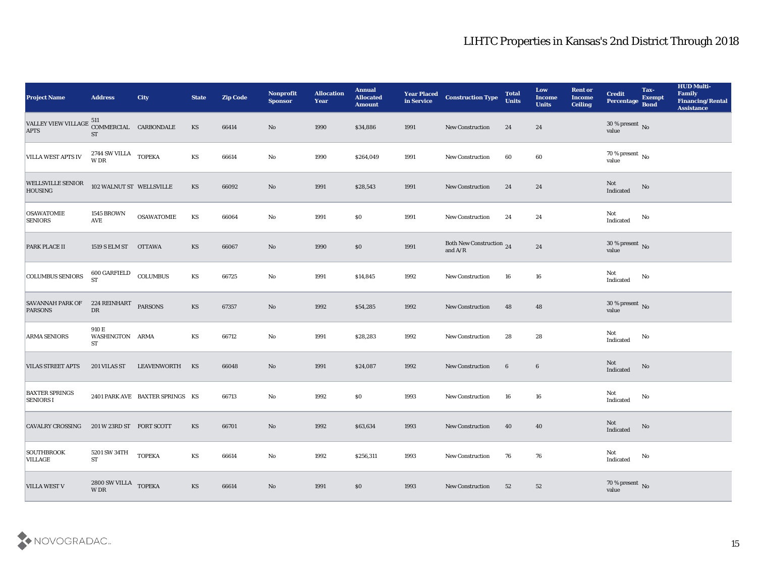| <b>Project Name</b>                                                        | <b>Address</b>                                         | <b>City</b>                     | <b>State</b>           | <b>Zip Code</b> | Nonprofit<br><b>Sponsor</b> | <b>Allocation</b><br>Year | <b>Annual</b><br><b>Allocated</b><br><b>Amount</b> | <b>Year Placed</b><br>in Service | <b>Construction Type</b>               | <b>Total</b><br><b>Units</b> | Low<br><b>Income</b><br><b>Units</b> | <b>Rent or</b><br><b>Income</b><br><b>Ceiling</b> | <b>Credit</b><br>Percentage       | Tax-<br><b>Exempt</b><br><b>Bond</b> | <b>HUD Multi-</b><br>Family<br><b>Financing/Rental</b><br><b>Assistance</b> |
|----------------------------------------------------------------------------|--------------------------------------------------------|---------------------------------|------------------------|-----------------|-----------------------------|---------------------------|----------------------------------------------------|----------------------------------|----------------------------------------|------------------------------|--------------------------------------|---------------------------------------------------|-----------------------------------|--------------------------------------|-----------------------------------------------------------------------------|
| VALLEY VIEW VILLAGE $^{511}_{\text{COMMERCIAL}}$ CARBONDALE<br><b>APTS</b> | <b>ST</b>                                              |                                 | KS                     | 66414           | No                          | 1990                      | \$34,886                                           | 1991                             | <b>New Construction</b>                | 24                           | 24                                   |                                                   | $30\,\%$ present $\,$ No value    |                                      |                                                                             |
| <b>VILLA WEST APTS IV</b>                                                  | $2744$ SW VILLA $\;$ TOPEKA W DR                       |                                 | KS                     | 66614           | No                          | 1990                      | \$264,049                                          | 1991                             | <b>New Construction</b>                | 60                           | 60                                   |                                                   | $70\,\%$ present $\,$ No value    |                                      |                                                                             |
| <b>WELLSVILLE SENIOR</b><br><b>HOUSING</b>                                 | 102 WALNUT ST WELLSVILLE                               |                                 | <b>KS</b>              | 66092           | No                          | 1991                      | \$28,543                                           | 1991                             | <b>New Construction</b>                | 24                           | 24                                   |                                                   | Not<br>Indicated                  | No                                   |                                                                             |
| <b>OSAWATOMIE</b><br><b>SENIORS</b>                                        | <b>1545 BROWN</b><br><b>AVE</b>                        | <b>OSAWATOMIE</b>               | KS                     | 66064           | No                          | 1991                      | \$0\$                                              | 1991                             | New Construction                       | 24                           | 24                                   |                                                   | Not<br>$\operatorname{Indicated}$ | No                                   |                                                                             |
| <b>PARK PLACE II</b>                                                       | 1519 S ELM ST                                          | <b>OTTAWA</b>                   | <b>KS</b>              | 66067           | No                          | 1990                      | \$0                                                | 1991                             | Both New Construction $$\,24$$ and A/R |                              | 24                                   |                                                   | $30\,\%$ present $\,$ No value    |                                      |                                                                             |
| <b>COLUMBUS SENIORS</b>                                                    | 600 GARFIELD<br><b>ST</b>                              | COLUMBUS                        | KS                     | 66725           | No                          | 1991                      | \$14,845                                           | 1992                             | <b>New Construction</b>                | 16                           | 16                                   |                                                   | Not<br>Indicated                  | No                                   |                                                                             |
| <b>SAVANNAH PARK OF</b><br><b>PARSONS</b>                                  | 224 REINHART PARSONS<br>${\rm D}{\rm R}$               |                                 | <b>KS</b>              | 67357           | No                          | 1992                      | \$54,285                                           | 1992                             | <b>New Construction</b>                | 48                           | 48                                   |                                                   | $30\,\%$ present $\,$ No value    |                                      |                                                                             |
| <b>ARMA SENIORS</b>                                                        | 910 E<br>WASHINGTON ARMA<br><b>ST</b>                  |                                 | KS                     | 66712           | No                          | 1991                      | \$28,283                                           | 1992                             | <b>New Construction</b>                | 28                           | 28                                   |                                                   | Not<br>Indicated                  | No                                   |                                                                             |
| <b>VILAS STREET APTS</b>                                                   | 201 VILAS ST                                           | LEAVENWORTH                     | KS                     | 66048           | No                          | 1991                      | \$24,087                                           | 1992                             | New Construction                       | 6                            | $6\phantom{.}6$                      |                                                   | Not<br>Indicated                  | No                                   |                                                                             |
| <b>BAXTER SPRINGS</b><br><b>SENIORS I</b>                                  |                                                        | 2401 PARK AVE BAXTER SPRINGS KS |                        | 66713           | No                          | 1992                      | \$0                                                | 1993                             | New Construction                       | 16                           | 16                                   |                                                   | Not<br>Indicated                  | No                                   |                                                                             |
| <b>CAVALRY CROSSING</b>                                                    | 201 W 23RD ST FORT SCOTT                               |                                 | <b>KS</b>              | 66701           | No                          | 1992                      | \$63,634                                           | 1993                             | <b>New Construction</b>                | 40                           | 40                                   |                                                   | Not<br>Indicated                  | No                                   |                                                                             |
| SOUTHBROOK<br><b>VILLAGE</b>                                               | 5201 SW 34TH<br>$\operatorname{ST}$                    | <b>TOPEKA</b>                   | KS                     | 66614           | $\mathbf {No}$              | 1992                      | \$256,311                                          | 1993                             | New Construction                       | 76                           | 76                                   |                                                   | Not<br>Indicated                  | $\mathbf {No}$                       |                                                                             |
| <b>VILLA WEST V</b>                                                        | $2800\;{\rm SW}\;{\rm VILLA} \quad {\rm TOPEKA} \quad$ |                                 | $\mathbf{K}\mathbf{S}$ | 66614           | $\rm\thinspace No$          | 1991                      | \$0                                                | 1993                             | New Construction                       | 52                           | $52\,$                               |                                                   | $70\,\%$ present $\,$ No value    |                                      |                                                                             |